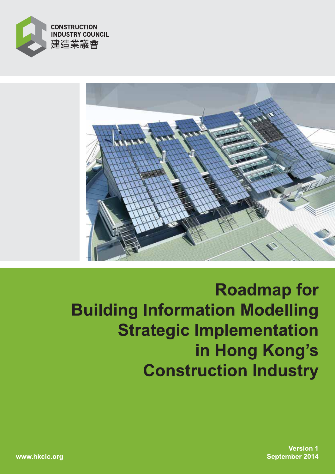



**Roadmap for Building Information Modelling Strategic Implementation** in Hong Kong's **Construction Industry** 

> **Version 1 September 2014**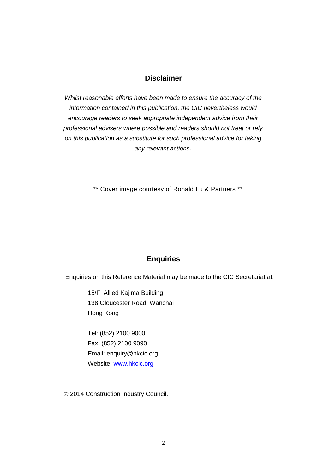### **Disclaimer**

*Whilst reasonable efforts have been made to ensure the accuracy of the information contained in this publication, the CIC nevertheless would encourage readers to seek appropriate independent advice from their professional advisers where possible and readers should not treat or rely on this publication as a substitute for such professional advice for taking any relevant actions.*

\*\* Cover image courtesy of Ronald Lu & Partners \*\*

## **Enquiries**

Enquiries on this Reference Material may be made to the CIC Secretariat at:

15/F, Allied Kajima Building 138 Gloucester Road, Wanchai Hong Kong

Tel: (852) 2100 9000 Fax: (852) 2100 9090 Email: enquiry@hkcic.org Website: [www.hkcic.org](http://www.hkcic.org/)

© 2014 Construction Industry Council.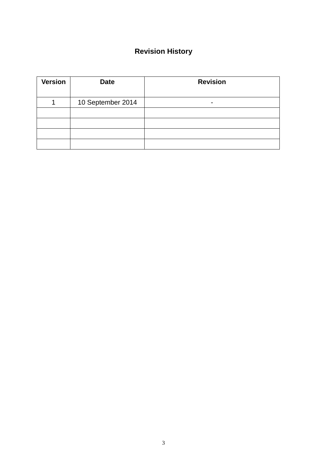# **Revision History**

| <b>Version</b> | <b>Date</b>       | <b>Revision</b>          |
|----------------|-------------------|--------------------------|
|                |                   |                          |
|                | 10 September 2014 | $\overline{\phantom{a}}$ |
|                |                   |                          |
|                |                   |                          |
|                |                   |                          |
|                |                   |                          |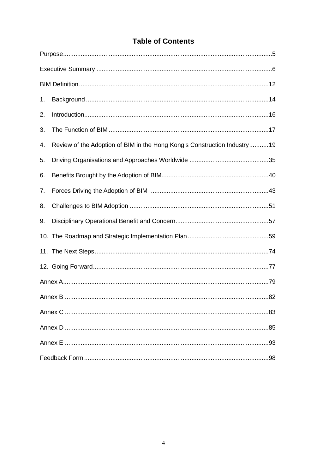|  | <b>Table of Contents</b> |
|--|--------------------------|
|  |                          |

| 1. |                                                                          |
|----|--------------------------------------------------------------------------|
| 2. |                                                                          |
| 3. |                                                                          |
| 4. | Review of the Adoption of BIM in the Hong Kong's Construction Industry19 |
| 5. |                                                                          |
| 6. |                                                                          |
| 7. |                                                                          |
| 8. |                                                                          |
| 9. |                                                                          |
|    |                                                                          |
|    |                                                                          |
|    |                                                                          |
|    |                                                                          |
|    |                                                                          |
|    |                                                                          |
|    |                                                                          |
|    |                                                                          |
|    |                                                                          |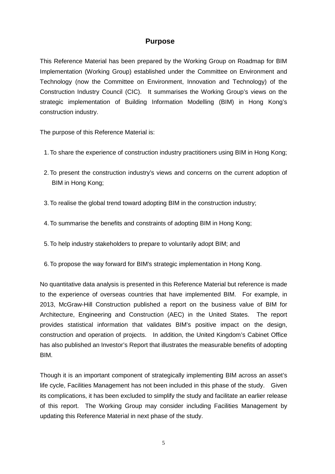## **Purpose**

<span id="page-4-0"></span>This Reference Material has been prepared by the Working Group on Roadmap for BIM Implementation (Working Group) established under the Committee on Environment and Technology (now the Committee on Environment, Innovation and Technology) of the Construction Industry Council (CIC). It summarises the Working Group's views on the strategic implementation of Building Information Modelling (BIM) in Hong Kong's construction industry.

The purpose of this Reference Material is:

- 1.To share the experience of construction industry practitioners using BIM in Hong Kong;
- 2. To present the construction industry's views and concerns on the current adoption of BIM in Hong Kong;
- 3.To realise the global trend toward adopting BIM in the construction industry;
- 4.To summarise the benefits and constraints of adopting BIM in Hong Kong;
- 5.To help industry stakeholders to prepare to voluntarily adopt BIM; and
- 6.To propose the way forward for BIM's strategic implementation in Hong Kong.

No quantitative data analysis is presented in this Reference Material but reference is made to the experience of overseas countries that have implemented BIM. For example, in 2013, McGraw-Hill Construction published a report on the business value of BIM for Architecture, Engineering and Construction (AEC) in the United States. The report provides statistical information that validates BIM's positive impact on the design, construction and operation of projects. In addition, the United Kingdom's Cabinet Office has also published an Investor's Report that illustrates the measurable benefits of adopting BIM.

Though it is an important component of strategically implementing BIM across an asset's life cycle, Facilities Management has not been included in this phase of the study. Given its complications, it has been excluded to simplify the study and facilitate an earlier release of this report. The Working Group may consider including Facilities Management by updating this Reference Material in next phase of the study.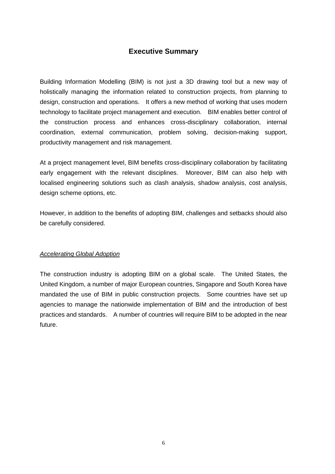## **Executive Summary**

<span id="page-5-0"></span>Building Information Modelling (BIM) is not just a 3D drawing tool but a new way of holistically managing the information related to construction projects, from planning to design, construction and operations. It offers a new method of working that uses modern technology to facilitate project management and execution. BIM enables better control of the construction process and enhances cross-disciplinary collaboration, internal coordination, external communication, problem solving, decision-making support, productivity management and risk management.

At a project management level, BIM benefits cross-disciplinary collaboration by facilitating early engagement with the relevant disciplines. Moreover, BIM can also help with localised engineering solutions such as clash analysis, shadow analysis, cost analysis, design scheme options, etc.

However, in addition to the benefits of adopting BIM, challenges and setbacks should also be carefully considered.

### *Accelerating Global Adoption*

The construction industry is adopting BIM on a global scale. The United States, the United Kingdom, a number of major European countries, Singapore and South Korea have mandated the use of BIM in public construction projects. Some countries have set up agencies to manage the nationwide implementation of BIM and the introduction of best practices and standards. A number of countries will require BIM to be adopted in the near future.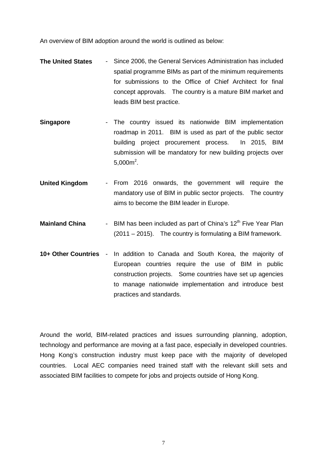An overview of BIM adoption around the world is outlined as below:

- **The United States** Since 2006, the General Services Administration has included spatial programme BIMs as part of the minimum requirements for submissions to the Office of Chief Architect for final concept approvals. The country is a mature BIM market and leads BIM best practice.
- **Singapore The country issued its nationwide BIM implementation** roadmap in 2011. BIM is used as part of the public sector building project procurement process. In 2015, BIM submission will be mandatory for new building projects over  $5,000m^2$ .
- **United Kingdom** From 2016 onwards, the government will require the mandatory use of BIM in public sector projects. The country aims to become the BIM leader in Europe.
- **Mainland China** BIM has been included as part of China's 12<sup>th</sup> Five Year Plan (2011 – 2015). The country is formulating a BIM framework.
- **10+ Other Countries** In addition to Canada and South Korea, the majority of European countries require the use of BIM in public construction projects. Some countries have set up agencies to manage nationwide implementation and introduce best practices and standards.

Around the world, BIM-related practices and issues surrounding planning, adoption, technology and performance are moving at a fast pace, especially in developed countries. Hong Kong's construction industry must keep pace with the majority of developed countries. Local AEC companies need trained staff with the relevant skill sets and associated BIM facilities to compete for jobs and projects outside of Hong Kong.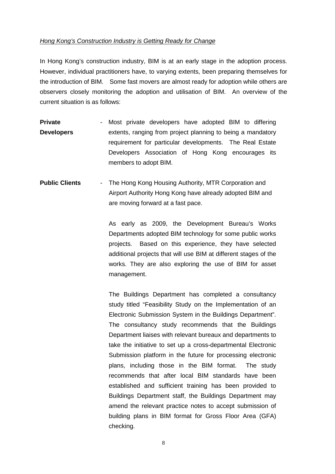### *Hong Kong's Construction Industry is Getting Ready for Change*

In Hong Kong's construction industry, BIM is at an early stage in the adoption process. However, individual practitioners have, to varying extents, been preparing themselves for the introduction of BIM. Some fast movers are almost ready for adoption while others are observers closely monitoring the adoption and utilisation of BIM. An overview of the current situation is as follows:

- **Private Developers** - Most private developers have adopted BIM to differing extents, ranging from project planning to being a mandatory requirement for particular developments. The Real Estate Developers Association of Hong Kong encourages its members to adopt BIM.
- **Public Clients** The Hong Kong Housing Authority, MTR Corporation and Airport Authority Hong Kong have already adopted BIM and are moving forward at a fast pace.

As early as 2009, the Development Bureau's Works Departments adopted BIM technology for some public works projects. Based on this experience, they have selected additional projects that will use BIM at different stages of the works. They are also exploring the use of BIM for asset management.

The Buildings Department has completed a consultancy study titled "Feasibility Study on the Implementation of an Electronic Submission System in the Buildings Department". The consultancy study recommends that the Buildings Department liaises with relevant bureaux and departments to take the initiative to set up a cross-departmental Electronic Submission platform in the future for processing electronic plans, including those in the BIM format. The study recommends that after local BIM standards have been established and sufficient training has been provided to Buildings Department staff, the Buildings Department may amend the relevant practice notes to accept submission of building plans in BIM format for Gross Floor Area (GFA) checking.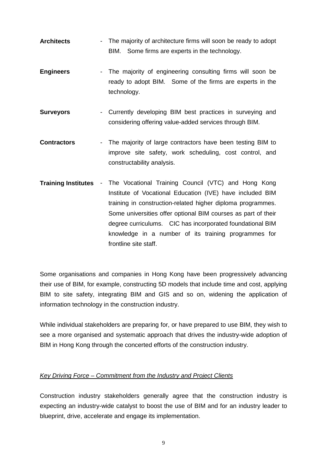- **Architects** The majority of architecture firms will soon be ready to adopt BIM. Some firms are experts in the technology.
- **Engineers** The majority of engineering consulting firms will soon be ready to adopt BIM. Some of the firms are experts in the technology.
- **Surveyors** Currently developing BIM best practices in surveying and considering offering value-added services through BIM.
- **Contractors** The majority of large contractors have been testing BIM to improve site safety, work scheduling, cost control, and constructability analysis.
- **Training Institutes** The Vocational Training Council (VTC) and Hong Kong Institute of Vocational Education (IVE) have included BIM training in construction-related higher diploma programmes. Some universities offer optional BIM courses as part of their degree curriculums. CIC has incorporated foundational BIM knowledge in a number of its training programmes for frontline site staff.

Some organisations and companies in Hong Kong have been progressively advancing their use of BIM, for example, constructing 5D models that include time and cost, applying BIM to site safety, integrating BIM and GIS and so on, widening the application of information technology in the construction industry.

While individual stakeholders are preparing for, or have prepared to use BIM, they wish to see a more organised and systematic approach that drives the industry-wide adoption of BIM in Hong Kong through the concerted efforts of the construction industry.

## *Key Driving Force – Commitment from the Industry and Project Clients*

Construction industry stakeholders generally agree that the construction industry is expecting an industry-wide catalyst to boost the use of BIM and for an industry leader to blueprint, drive, accelerate and engage its implementation.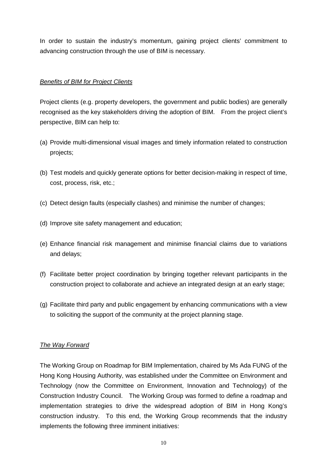In order to sustain the industry's momentum, gaining project clients' commitment to advancing construction through the use of BIM is necessary.

### *Benefits of BIM for Project Clients*

Project clients (e.g. property developers, the government and public bodies) are generally recognised as the key stakeholders driving the adoption of BIM. From the project client's perspective, BIM can help to:

- (a) Provide multi-dimensional visual images and timely information related to construction projects;
- (b) Test models and quickly generate options for better decision-making in respect of time, cost, process, risk, etc.;
- (c) Detect design faults (especially clashes) and minimise the number of changes;
- (d) Improve site safety management and education;
- (e) Enhance financial risk management and minimise financial claims due to variations and delays;
- (f) Facilitate better project coordination by bringing together relevant participants in the construction project to collaborate and achieve an integrated design at an early stage;
- (g) Facilitate third party and public engagement by enhancing communications with a view to soliciting the support of the community at the project planning stage.

### *The Way Forward*

The Working Group on Roadmap for BIM Implementation, chaired by Ms Ada FUNG of the Hong Kong Housing Authority, was established under the Committee on Environment and Technology (now the Committee on Environment, Innovation and Technology) of the Construction Industry Council. The Working Group was formed to define a roadmap and implementation strategies to drive the widespread adoption of BIM in Hong Kong's construction industry. To this end, the Working Group recommends that the industry implements the following three imminent initiatives: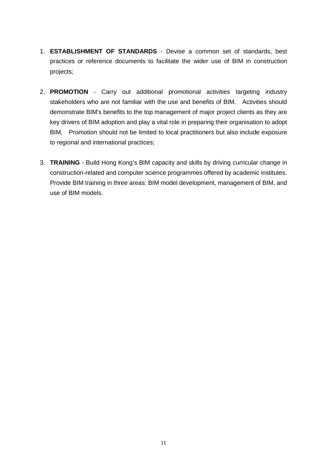- 1. **ESTABLISHMENT OF STANDARDS** Devise a common set of standards, best practices or reference documents to facilitate the wider use of BIM in construction projects;
- 2. **PROMOTION** Carry out additional promotional activities targeting industry stakeholders who are not familiar with the use and benefits of BIM. Activities should demonstrate BIM's benefits to the top management of major project clients as they are key drivers of BIM adoption and play a vital role in preparing their organisation to adopt BIM. Promotion should not be limited to local practitioners but also include exposure to regional and international practices;
- 3. **TRAINING** Build Hong Kong's BIM capacity and skills by driving curricular change in construction-related and computer science programmes offered by academic institutes. Provide BIM training in three areas: BIM model development, management of BIM, and use of BIM models.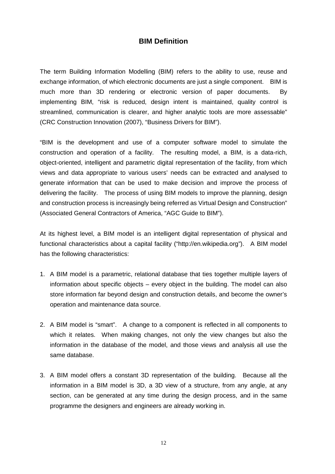### **BIM Definition**

<span id="page-11-0"></span>The term Building Information Modelling (BIM) refers to the ability to use, reuse and exchange information, of which electronic documents are just a single component. BIM is much more than 3D rendering or electronic version of paper documents. By implementing BIM, "risk is reduced, design intent is maintained, quality control is streamlined, communication is clearer, and higher analytic tools are more assessable" (CRC Construction Innovation (2007), "Business Drivers for BIM").

"BIM is the development and use of a computer software model to simulate the construction and operation of a facility. The resulting model, a BIM, is a data-rich, object-oriented, intelligent and parametric digital representation of the facility, from which views and data appropriate to various users' needs can be extracted and analysed to generate information that can be used to make decision and improve the process of delivering the facility. The process of using BIM models to improve the planning, design and construction process is increasingly being referred as Virtual Design and Construction" (Associated General Contractors of America, "AGC Guide to BIM").

At its highest level, a BIM model is an intelligent digital representation of physical and functional characteristics about a capital facility ("http://en.wikipedia.org"). A BIM model has the following characteristics:

- 1. A BIM model is a parametric, relational database that ties together multiple layers of information about specific objects  $-$  every object in the building. The model can also store information far beyond design and construction details, and become the owner's operation and maintenance data source.
- 2. A BIM model is "smart". A change to a component is reflected in all components to which it relates. When making changes, not only the view changes but also the information in the database of the model, and those views and analysis all use the same database.
- 3. A BIM model offers a constant 3D representation of the building. Because all the information in a BIM model is 3D, a 3D view of a structure, from any angle, at any section, can be generated at any time during the design process, and in the same programme the designers and engineers are already working in.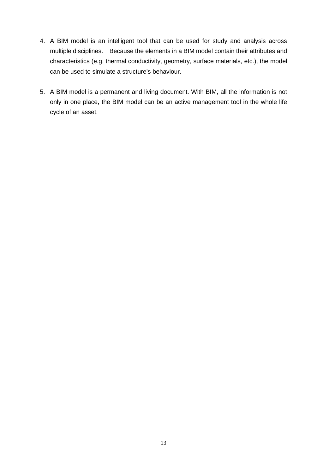- 4. A BIM model is an intelligent tool that can be used for study and analysis across multiple disciplines. Because the elements in a BIM model contain their attributes and characteristics (e.g. thermal conductivity, geometry, surface materials, etc.), the model can be used to simulate a structure's behaviour.
- 5. A BIM model is a permanent and living document. With BIM, all the information is not only in one place, the BIM model can be an active management tool in the whole life cycle of an asset.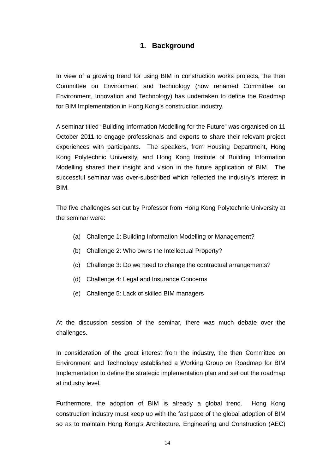## **1. Background**

<span id="page-13-0"></span>In view of a growing trend for using BIM in construction works projects, the then Committee on Environment and Technology (now renamed Committee on Environment, Innovation and Technology) has undertaken to define the Roadmap for BIM Implementation in Hong Kong's construction industry.

A seminar titled "Building Information Modelling for the Future" was organised on 11 October 2011 to engage professionals and experts to share their relevant project experiences with participants. The speakers, from Housing Department, Hong Kong Polytechnic University, and Hong Kong Institute of Building Information Modelling shared their insight and vision in the future application of BIM. The successful seminar was over-subscribed which reflected the industry's interest in BIM.

The five challenges set out by Professor from Hong Kong Polytechnic University at the seminar were:

- (a) Challenge 1: Building Information Modelling or Management?
- (b) Challenge 2: Who owns the Intellectual Property?
- (c) Challenge 3: Do we need to change the contractual arrangements?
- (d) Challenge 4: Legal and Insurance Concerns
- (e) Challenge 5: Lack of skilled BIM managers

At the discussion session of the seminar, there was much debate over the challenges.

In consideration of the great interest from the industry, the then Committee on Environment and Technology established a Working Group on Roadmap for BIM Implementation to define the strategic implementation plan and set out the roadmap at industry level.

Furthermore, the adoption of BIM is already a global trend. Hong Kong construction industry must keep up with the fast pace of the global adoption of BIM so as to maintain Hong Kong's Architecture, Engineering and Construction (AEC)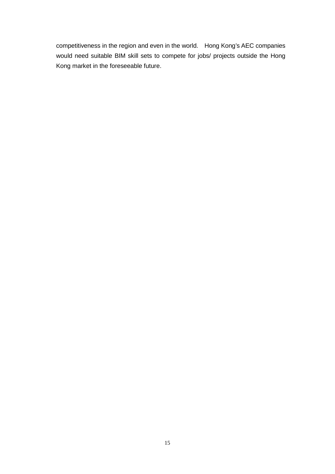competitiveness in the region and even in the world. Hong Kong's AEC companies would need suitable BIM skill sets to compete for jobs/ projects outside the Hong Kong market in the foreseeable future.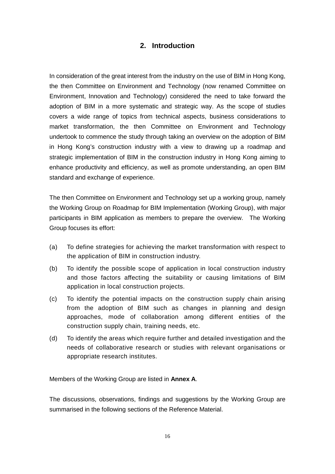## **2. Introduction**

<span id="page-15-0"></span>In consideration of the great interest from the industry on the use of BIM in Hong Kong, the then Committee on Environment and Technology (now renamed Committee on Environment, Innovation and Technology) considered the need to take forward the adoption of BIM in a more systematic and strategic way. As the scope of studies covers a wide range of topics from technical aspects, business considerations to market transformation, the then Committee on Environment and Technology undertook to commence the study through taking an overview on the adoption of BIM in Hong Kong's construction industry with a view to drawing up a roadmap and strategic implementation of BIM in the construction industry in Hong Kong aiming to enhance productivity and efficiency, as well as promote understanding, an open BIM standard and exchange of experience.

The then Committee on Environment and Technology set up a working group, namely the Working Group on Roadmap for BIM Implementation (Working Group), with major participants in BIM application as members to prepare the overview. The Working Group focuses its effort:

- (a) To define strategies for achieving the market transformation with respect to the application of BIM in construction industry.
- (b) To identify the possible scope of application in local construction industry and those factors affecting the suitability or causing limitations of BIM application in local construction projects.
- (c) To identify the potential impacts on the construction supply chain arising from the adoption of BIM such as changes in planning and design approaches, mode of collaboration among different entities of the construction supply chain, training needs, etc.
- (d) To identify the areas which require further and detailed investigation and the needs of collaborative research or studies with relevant organisations or appropriate research institutes.

Members of the Working Group are listed in **Annex A**.

The discussions, observations, findings and suggestions by the Working Group are summarised in the following sections of the Reference Material.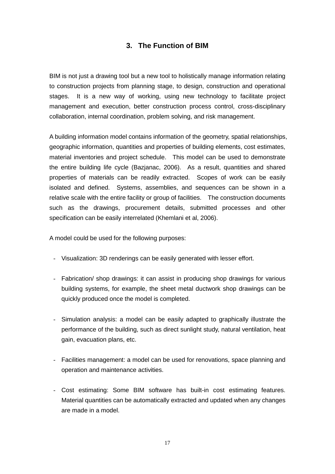## **3. The Function of BIM**

<span id="page-16-0"></span>BIM is not just a drawing tool but a new tool to holistically manage information relating to construction projects from planning stage, to design, construction and operational stages. It is a new way of working, using new technology to facilitate project management and execution, better construction process control, cross-disciplinary collaboration, internal coordination, problem solving, and risk management.

A building information model contains information of the geometry, spatial relationships, geographic information, quantities and properties of building elements, cost estimates, material inventories and project schedule. This model can be used to demonstrate the entire building life cycle (Bazjanac, 2006). As a result, quantities and shared properties of materials can be readily extracted. Scopes of work can be easily isolated and defined. Systems, assemblies, and sequences can be shown in a relative scale with the entire facility or group of facilities. The construction documents such as the drawings, procurement details, submitted processes and other specification can be easily interrelated (Khemlani et al, 2006).

A model could be used for the following purposes:

- Visualization: 3D renderings can be easily generated with lesser effort.
- Fabrication/ shop drawings: it can assist in producing shop drawings for various building systems, for example, the sheet metal ductwork shop drawings can be quickly produced once the model is completed.
- Simulation analysis: a model can be easily adapted to graphically illustrate the performance of the building, such as direct sunlight study, natural ventilation, heat gain, evacuation plans, etc.
- Facilities management: a model can be used for renovations, space planning and operation and maintenance activities.
- Cost estimating: Some BIM software has built-in cost estimating features. Material quantities can be automatically extracted and updated when any changes are made in a model.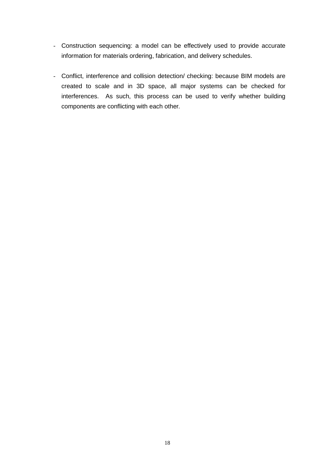- Construction sequencing: a model can be effectively used to provide accurate information for materials ordering, fabrication, and delivery schedules.
- Conflict, interference and collision detection/ checking: because BIM models are created to scale and in 3D space, all major systems can be checked for interferences. As such, this process can be used to verify whether building components are conflicting with each other.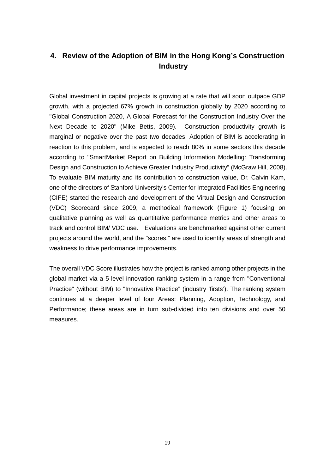## <span id="page-18-0"></span>**4. Review of the Adoption of BIM in the Hong Kong's Construction Industry**

Global investment in capital projects is growing at a rate that will soon outpace GDP growth, with a projected 67% growth in construction globally by 2020 according to "Global Construction 2020, A Global Forecast for the Construction Industry Over the Next Decade to 2020" (Mike Betts, 2009). Construction productivity growth is marginal or negative over the past two decades. Adoption of BIM is accelerating in reaction to this problem, and is expected to reach 80% in some sectors this decade according to "SmartMarket Report on Building Information Modelling: Transforming Design and Construction to Achieve Greater Industry Productivity" (McGraw Hill, 2008). To evaluate BIM maturity and its contribution to construction value, Dr. Calvin Kam, one of the directors of Stanford University's Center for Integrated Facilities Engineering (CIFE) started the research and development of the Virtual Design and Construction (VDC) Scorecard since 2009, a methodical framework (Figure 1) focusing on qualitative planning as well as quantitative performance metrics and other areas to track and control BIM/ VDC use. Evaluations are benchmarked against other current projects around the world, and the "scores," are used to identify areas of strength and weakness to drive performance improvements.

The overall VDC Score illustrates how the project is ranked among other projects in the global market via a 5-level innovation ranking system in a range from "Conventional Practice" (without BIM) to "Innovative Practice" (industry 'firsts'). The ranking system continues at a deeper level of four Areas: Planning, Adoption, Technology, and Performance; these areas are in turn sub-divided into ten divisions and over 50 measures.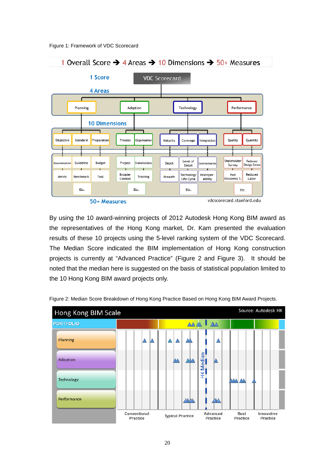



vdcscorecard.stanford.edu

By using the 10 award-winning projects of 2012 Autodesk Hong Kong BIM award as the representatives of the Hong Kong market, Dr. Kam presented the evaluation results of these 10 projects using the 5-level ranking system of the VDC Scorecard. The Median Score indicated the BIM implementation of Hong Kong construction projects is currently at "Advanced Practice" (Figure 2 and Figure 3). It should be noted that the median here is suggested on the basis of statistical population limited to the 10 Hong Kong BIM award projects only.



Figure 2: Median Score Breakdown of Hong Kong Practice Based on Hong Kong BIM Award Projects.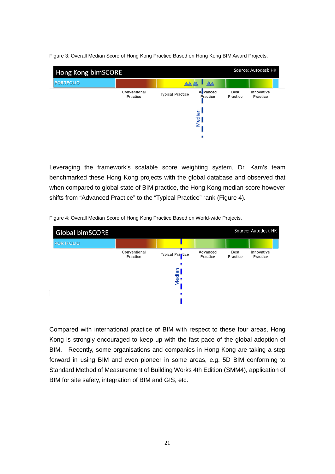Figure 3: Overall Median Score of Hong Kong Practice Based on Hong Kong BIM Award Projects.



Leveraging the framework's scalable score weighting system, Dr. Kam's team benchmarked these Hong Kong projects with the global database and observed that when compared to global state of BIM practice, the Hong Kong median score however shifts from "Advanced Practice" to the "Typical Practice" rank (Figure 4).

Figure 4: Overall Median Score of Hong Kong Practice Based on World-wide Projects.



Compared with international practice of BIM with respect to these four areas, Hong Kong is strongly encouraged to keep up with the fast pace of the global adoption of BIM. Recently, some organisations and companies in Hong Kong are taking a step forward in using BIM and even pioneer in some areas, e.g. 5D BIM conforming to Standard Method of Measurement of Building Works 4th Edition (SMM4), application of BIM for site safety, integration of BIM and GIS, etc.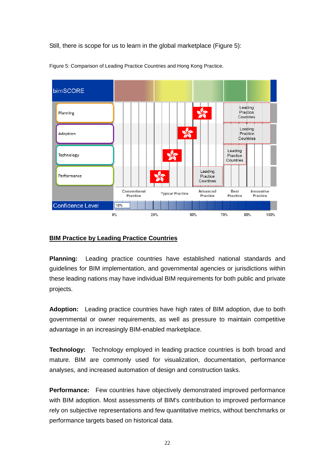Still, there is scope for us to learn in the global marketplace (Figure 5):



Figure 5: Comparison of Leading Practice Countries and Hong Kong Practice.

### **BIM Practice by Leading Practice Countries**

**Planning:** Leading practice countries have established national standards and guidelines for BIM implementation, and governmental agencies or jurisdictions within these leading nations may have individual BIM requirements for both public and private projects.

**Adoption:** Leading practice countries have high rates of BIM adoption, due to both governmental or owner requirements, as well as pressure to maintain competitive advantage in an increasingly BIM-enabled marketplace.

**Technology:** Technology employed in leading practice countries is both broad and mature. BIM are commonly used for visualization, documentation, performance analyses, and increased automation of design and construction tasks.

**Performance:** Few countries have objectively demonstrated improved performance with BIM adoption. Most assessments of BIM's contribution to improved performance rely on subjective representations and few quantitative metrics, without benchmarks or performance targets based on historical data.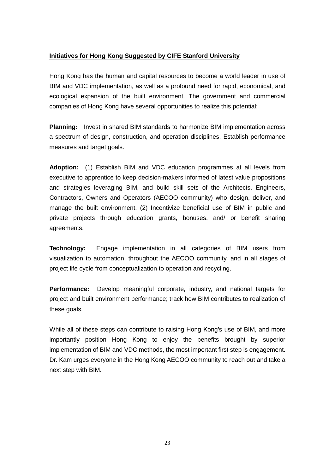### **Initiatives for Hong Kong Suggested by CIFE Stanford University**

Hong Kong has the human and capital resources to become a world leader in use of BIM and VDC implementation, as well as a profound need for rapid, economical, and ecological expansion of the built environment. The government and commercial companies of Hong Kong have several opportunities to realize this potential:

**Planning:** Invest in shared BIM standards to harmonize BIM implementation across a spectrum of design, construction, and operation disciplines. Establish performance measures and target goals.

**Adoption:** (1) Establish BIM and VDC education programmes at all levels from executive to apprentice to keep decision-makers informed of latest value propositions and strategies leveraging BIM, and build skill sets of the Architects, Engineers, Contractors, Owners and Operators (AECOO community) who design, deliver, and manage the built environment. (2) Incentivize beneficial use of BIM in public and private projects through education grants, bonuses, and/ or benefit sharing agreements.

**Technology:** Engage implementation in all categories of BIM users from visualization to automation, throughout the AECOO community, and in all stages of project life cycle from conceptualization to operation and recycling.

**Performance:** Develop meaningful corporate, industry, and national targets for project and built environment performance; track how BIM contributes to realization of these goals.

While all of these steps can contribute to raising Hong Kong's use of BIM, and more importantly position Hong Kong to enjoy the benefits brought by superior implementation of BIM and VDC methods, the most important first step is engagement. Dr. Kam urges everyone in the Hong Kong AECOO community to reach out and take a next step with BIM.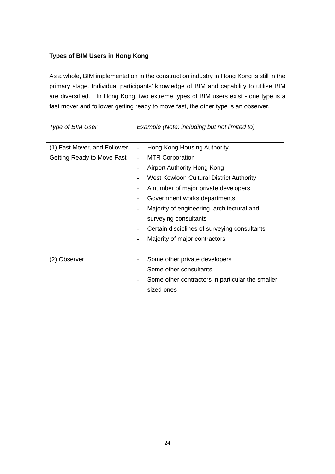## **Types of BIM Users in Hong Kong**

As a whole, BIM implementation in the construction industry in Hong Kong is still in the primary stage. Individual participants' knowledge of BIM and capability to utilise BIM are diversified. In Hong Kong, two extreme types of BIM users exist - one type is a fast mover and follower getting ready to move fast, the other type is an observer.

| Type of BIM User                                           | Example (Note: including but not limited to)                                                                                                                                                                                                                                                                                                                                 |  |
|------------------------------------------------------------|------------------------------------------------------------------------------------------------------------------------------------------------------------------------------------------------------------------------------------------------------------------------------------------------------------------------------------------------------------------------------|--|
| (1) Fast Mover, and Follower<br>Getting Ready to Move Fast | Hong Kong Housing Authority<br><b>MTR Corporation</b><br>-<br><b>Airport Authority Hong Kong</b><br>West Kowloon Cultural District Authority<br>A number of major private developers<br>Government works departments<br>Majority of engineering, architectural and<br>surveying consultants<br>Certain disciplines of surveying consultants<br>Majority of major contractors |  |
| (2) Observer                                               | Some other private developers<br>Some other consultants<br>Some other contractors in particular the smaller<br>sized ones                                                                                                                                                                                                                                                    |  |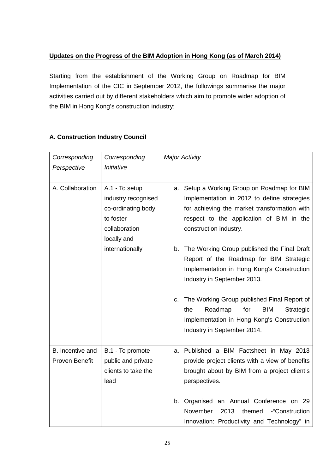## **Updates on the Progress of the BIM Adoption in Hong Kong (as of March 2014)**

Starting from the establishment of the Working Group on Roadmap for BIM Implementation of the CIC in September 2012, the followings summarise the major activities carried out by different stakeholders which aim to promote wider adoption of the BIM in Hong Kong's construction industry:

| Corresponding<br>Perspective       | Corresponding<br>Initiative                                                                              | <b>Major Activity</b>                                                                                                                                                                                               |  |
|------------------------------------|----------------------------------------------------------------------------------------------------------|---------------------------------------------------------------------------------------------------------------------------------------------------------------------------------------------------------------------|--|
| A. Collaboration                   | A.1 - To setup<br>industry recognised<br>co-ordinating body<br>to foster<br>collaboration<br>locally and | Setup a Working Group on Roadmap for BIM<br>а.<br>Implementation in 2012 to define strategies<br>for achieving the market transformation with<br>respect to the application of BIM in the<br>construction industry. |  |
|                                    | internationally                                                                                          | The Working Group published the Final Draft<br>b.<br>Report of the Roadmap for BIM Strategic<br>Implementation in Hong Kong's Construction<br>Industry in September 2013.                                           |  |
|                                    |                                                                                                          | The Working Group published Final Report of<br>C.<br>Roadmap<br><b>BIM</b><br>the<br>for<br>Strategic<br>Implementation in Hong Kong's Construction<br>Industry in September 2014.                                  |  |
| B. Incentive and<br>Proven Benefit | B.1 - To promote<br>public and private<br>clients to take the<br>lead                                    | Published a BIM Factsheet in May 2013<br>a.<br>provide project clients with a view of benefits<br>brought about by BIM from a project client's<br>perspectives.                                                     |  |
|                                    |                                                                                                          | Organised an Annual Conference on 29<br>b.<br>-"Construction<br>November<br>2013<br>themed<br>Innovation: Productivity and Technology" in                                                                           |  |

## **A. Construction Industry Council**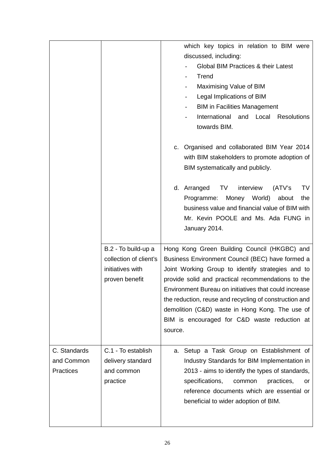|                                                |                                                                                     | which key topics in relation to BIM were<br>discussed, including:<br>Global BIM Practices & their Latest<br>Trend<br>Maximising Value of BIM<br>Legal Implications of BIM<br><b>BIM in Facilities Management</b><br>International<br>and Local<br><b>Resolutions</b><br>towards BIM.<br>c. Organised and collaborated BIM Year 2014<br>with BIM stakeholders to promote adoption of<br>BIM systematically and publicly.<br>d. Arranged<br>TV<br>interview<br>(ATV's<br>TV<br>Money World)<br>Programme:<br>about<br>the<br>business value and financial value of BIM with<br>Mr. Kevin POOLE and Ms. Ada FUNG in<br>January 2014.<br>Hong Kong Green Building Council (HKGBC) and<br>Business Environment Council (BEC) have formed a<br>Joint Working Group to identify strategies and to<br>provide solid and practical recommendations to the<br>Environment Bureau on initiatives that could increase<br>the reduction, reuse and recycling of construction and<br>demolition (C&D) waste in Hong Kong. The use of<br>BIM is encouraged for C&D waste reduction at<br>source. |  |
|------------------------------------------------|-------------------------------------------------------------------------------------|-----------------------------------------------------------------------------------------------------------------------------------------------------------------------------------------------------------------------------------------------------------------------------------------------------------------------------------------------------------------------------------------------------------------------------------------------------------------------------------------------------------------------------------------------------------------------------------------------------------------------------------------------------------------------------------------------------------------------------------------------------------------------------------------------------------------------------------------------------------------------------------------------------------------------------------------------------------------------------------------------------------------------------------------------------------------------------------|--|
|                                                | B.2 - To build-up a<br>collection of client's<br>initiatives with<br>proven benefit |                                                                                                                                                                                                                                                                                                                                                                                                                                                                                                                                                                                                                                                                                                                                                                                                                                                                                                                                                                                                                                                                                   |  |
| C. Standards<br>and Common<br><b>Practices</b> | C.1 - To establish<br>delivery standard<br>and common<br>practice                   | a. Setup a Task Group on Establishment of<br>Industry Standards for BIM Implementation in<br>2013 - aims to identify the types of standards,<br>specifications,<br>common<br>practices,<br>or<br>reference documents which are essential or<br>beneficial to wider adoption of BIM.                                                                                                                                                                                                                                                                                                                                                                                                                                                                                                                                                                                                                                                                                                                                                                                               |  |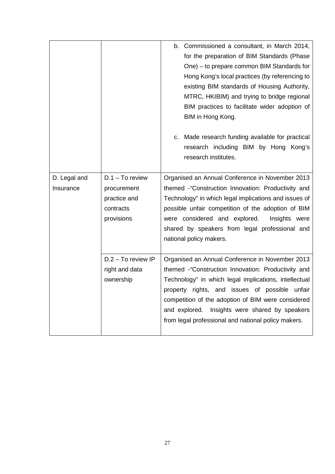|                           |                                                                             | b. Commissioned a consultant, in March 2014,<br>for the preparation of BIM Standards (Phase<br>One) - to prepare common BIM Standards for<br>Hong Kong's local practices (by referencing to<br>existing BIM standards of Housing Authority,<br>MTRC, HKIBIM) and trying to bridge regional<br>BIM practices to facilitate wider adoption of<br>BIM in Hong Kong.<br>Made research funding available for practical<br>C.<br>research including BIM by Hong Kong's<br>research institutes. |  |
|---------------------------|-----------------------------------------------------------------------------|------------------------------------------------------------------------------------------------------------------------------------------------------------------------------------------------------------------------------------------------------------------------------------------------------------------------------------------------------------------------------------------------------------------------------------------------------------------------------------------|--|
| D. Legal and<br>Insurance | $D.1 - To review$<br>procurement<br>practice and<br>contracts<br>provisions | Organised an Annual Conference in November 2013<br>themed -"Construction Innovation: Productivity and<br>Technology" in which legal implications and issues of<br>possible unfair competition of the adoption of BIM<br>were considered and explored.<br>Insights were<br>shared by speakers from legal professional and<br>national policy makers.                                                                                                                                      |  |
|                           | $D.2 - To review IP$<br>right and data<br>ownership                         | Organised an Annual Conference in November 2013<br>themed -"Construction Innovation: Productivity and<br>Technology" in which legal implications, intellectual<br>property rights, and issues of possible unfair<br>competition of the adoption of BIM were considered<br>and explored. Insights were shared by speakers<br>from legal professional and national policy makers.                                                                                                          |  |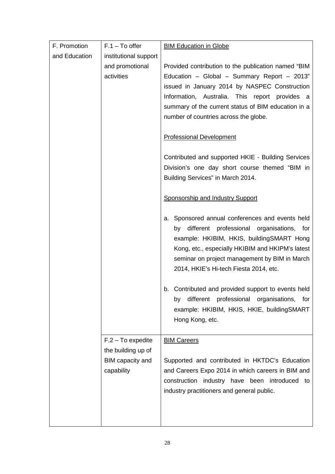| F. Promotion  | $F.1 - To offer$                                     | <b>BIM Education in Globe</b>                                                                                                                                                                                                                                                                         |  |
|---------------|------------------------------------------------------|-------------------------------------------------------------------------------------------------------------------------------------------------------------------------------------------------------------------------------------------------------------------------------------------------------|--|
| and Education | institutional support                                |                                                                                                                                                                                                                                                                                                       |  |
|               | and promotional<br>activities                        | Provided contribution to the publication named "BIM<br>Education - Global - Summary Report - 2013"<br>issued in January 2014 by NASPEC Construction<br>Information, Australia. This report provides a<br>summary of the current status of BIM education in a<br>number of countries across the globe. |  |
|               |                                                      |                                                                                                                                                                                                                                                                                                       |  |
|               |                                                      | <b>Professional Development</b>                                                                                                                                                                                                                                                                       |  |
|               |                                                      | Contributed and supported HKIE - Building Services<br>Division's one day short course themed "BIM in<br>Building Services" in March 2014.                                                                                                                                                             |  |
|               |                                                      | <b>Sponsorship and Industry Support</b>                                                                                                                                                                                                                                                               |  |
|               |                                                      | a. Sponsored annual conferences and events held<br>different professional organisations, for<br>by<br>example: HKIBIM, HKIS, buildingSMART Hong<br>Kong, etc., especially HKIBIM and HKIPM's latest<br>seminar on project management by BIM in March<br>2014, HKIE's Hi-tech Fiesta 2014, etc.        |  |
|               |                                                      | Contributed and provided support to events held<br>b.<br>professional organisations,<br>different<br>by<br>for<br>example: HKIBIM, HKIS, HKIE, buildingSMART<br>Hong Kong, etc.                                                                                                                       |  |
|               | $F.2 - To expect the$                                | <b>BIM Careers</b>                                                                                                                                                                                                                                                                                    |  |
|               | the building up of<br>BIM capacity and<br>capability | Supported and contributed in HKTDC's Education<br>and Careers Expo 2014 in which careers in BIM and<br>construction industry have been introduced to<br>industry practitioners and general public.                                                                                                    |  |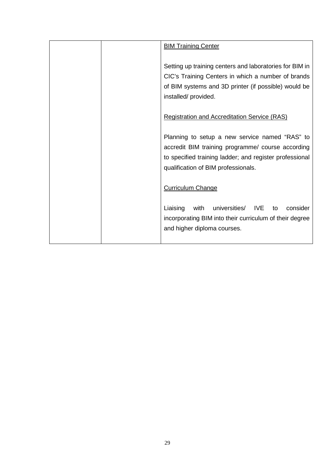|  | <b>BIM Training Center</b>                                                                                                                                                                            |
|--|-------------------------------------------------------------------------------------------------------------------------------------------------------------------------------------------------------|
|  | Setting up training centers and laboratories for BIM in<br>CIC's Training Centers in which a number of brands<br>of BIM systems and 3D printer (if possible) would be<br>installed/provided.          |
|  | <b>Registration and Accreditation Service (RAS)</b>                                                                                                                                                   |
|  | Planning to setup a new service named "RAS" to<br>accredit BIM training programme/ course according<br>to specified training ladder; and register professional<br>qualification of BIM professionals. |
|  | <b>Curriculum Change</b>                                                                                                                                                                              |
|  | Liaising<br>with<br>universities/<br>IVE.<br>consider<br>to<br>incorporating BIM into their curriculum of their degree<br>and higher diploma courses.                                                 |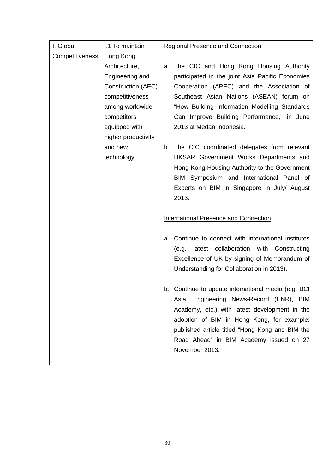| I. Global       | I.1 To maintain     | <b>Regional Presence and Connection</b>                 |  |
|-----------------|---------------------|---------------------------------------------------------|--|
| Competitiveness | Hong Kong           |                                                         |  |
|                 | Architecture,       | The CIC and Hong Kong Housing Authority<br>a.           |  |
|                 | Engineering and     | participated in the joint Asia Pacific Economies        |  |
|                 | Construction (AEC)  | Cooperation (APEC) and the Association of               |  |
|                 | competitiveness     | Southeast Asian Nations (ASEAN) forum on                |  |
|                 | among worldwide     | "How Building Information Modelling Standards           |  |
|                 | competitors         | Can Improve Building Performance," in June              |  |
|                 | equipped with       | 2013 at Medan Indonesia.                                |  |
|                 | higher productivity |                                                         |  |
|                 | and new             | The CIC coordinated delegates from relevant<br>b.       |  |
|                 | technology          | HKSAR Government Works Departments and                  |  |
|                 |                     | Hong Kong Housing Authority to the Government           |  |
|                 |                     | BIM Symposium and International Panel of                |  |
|                 |                     | Experts on BIM in Singapore in July/ August             |  |
|                 |                     | 2013.                                                   |  |
|                 |                     |                                                         |  |
|                 |                     | <b>International Presence and Connection</b>            |  |
|                 |                     |                                                         |  |
|                 |                     | Continue to connect with international institutes<br>а. |  |
|                 |                     | latest collaboration with Constructing<br>(e.g.         |  |
|                 |                     | Excellence of UK by signing of Memorandum of            |  |
|                 |                     | Understanding for Collaboration in 2013).               |  |
|                 |                     |                                                         |  |
|                 |                     | Continue to update international media (e.g. BCI<br>b.  |  |
|                 |                     | Asia, Engineering News-Record (ENR), BIM                |  |
|                 |                     | Academy, etc.) with latest development in the           |  |
|                 |                     | adoption of BIM in Hong Kong, for example:              |  |
|                 |                     | published article titled "Hong Kong and BIM the         |  |
|                 |                     | Road Ahead" in BIM Academy issued on 27                 |  |
|                 |                     | November 2013.                                          |  |
|                 |                     |                                                         |  |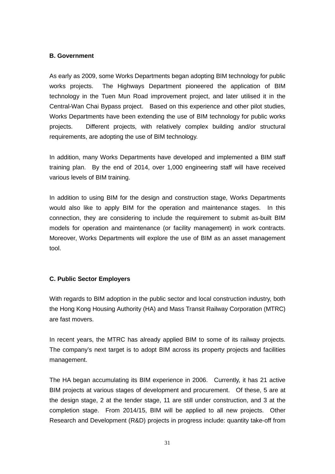### **B. Government**

As early as 2009, some Works Departments began adopting BIM technology for public works projects. The Highways Department pioneered the application of BIM technology in the Tuen Mun Road improvement project, and later utilised it in the Central-Wan Chai Bypass project. Based on this experience and other pilot studies, Works Departments have been extending the use of BIM technology for public works projects. Different projects, with relatively complex building and/or structural requirements, are adopting the use of BIM technology.

In addition, many Works Departments have developed and implemented a BIM staff training plan. By the end of 2014, over 1,000 engineering staff will have received various levels of BIM training.

In addition to using BIM for the design and construction stage, Works Departments would also like to apply BIM for the operation and maintenance stages. In this connection, they are considering to include the requirement to submit as-built BIM models for operation and maintenance (or facility management) in work contracts. Moreover, Works Departments will explore the use of BIM as an asset management tool.

### **C. Public Sector Employers**

With regards to BIM adoption in the public sector and local construction industry, both the Hong Kong Housing Authority (HA) and [Mass Transit Railway](https://www.google.com.hk/search?num=100&c2coff=1&safe=active&q=mass+transit+railway+corp&spell=1&sa=X&ei=oqsvU8OOKcWWiAfYt4DwCg&ved=0CCkQvwUoAA) Corporation (MTRC) are fast movers.

In recent years, the MTRC has already applied BIM to some of its railway projects. The company's next target is to adopt BIM across its property projects and facilities management.

The HA began accumulating its BIM experience in 2006. Currently, it has 21 active BIM projects at various stages of development and procurement. Of these, 5 are at the design stage, 2 at the tender stage, 11 are still under construction, and 3 at the completion stage. From 2014/15, BIM will be applied to all new projects. Other Research and Development (R&D) projects in progress include: quantity take-off from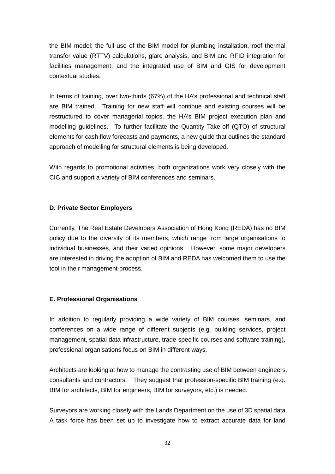the BIM model; the full use of the BIM model for plumbing installation, roof thermal transfer value (RTTV) calculations, glare analysis, and BIM and RFID integration for facilities management; and the integrated use of BIM and GIS for development contextual studies.

In terms of training, over two-thirds (67%) of the HA's professional and technical staff are BIM trained. Training for new staff will continue and existing courses will be restructured to cover managerial topics, the HA's BIM project execution plan and modelling guidelines. To further facilitate the Quantity Take-off (QTO) of structural elements for cash flow forecasts and payments, a new guide that outlines the standard approach of modelling for structural elements is being developed.

With regards to promotional activities, both organizations work very closely with the CIC and support a variety of BIM conferences and seminars.

### **D. Private Sector Employers**

Currently, The Real Estate Developers Association of Hong Kong (REDA) has no BIM policy due to the diversity of its members, which range from large organisations to individual businesses, and their varied opinions. However, some major developers are interested in driving the adoption of BIM and REDA has welcomed them to use the tool in their management process.

#### **E. Professional Organisations**

In addition to regularly providing a wide variety of BIM courses, seminars, and conferences on a wide range of different subjects (e.g. building services, project management, spatial data infrastructure, trade-specific courses and software training), professional organisations focus on BIM in different ways.

Architects are looking at how to manage the contrasting use of BIM between engineers, consultants and contractors. They suggest that profession-specific BIM training (e.g. BIM for architects, BIM for engineers, BIM for surveyors, etc.) is needed.

Surveyors are working closely with the Lands Department on the use of 3D spatial data. A task force has been set up to investigate how to extract accurate data for land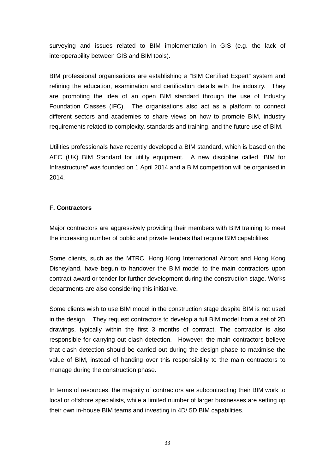surveying and issues related to BIM implementation in GIS (e.g. the lack of interoperability between GIS and BIM tools).

BIM professional organisations are establishing a "BIM Certified Expert" system and refining the education, examination and certification details with the industry. They are promoting the idea of an open BIM standard through the use of Industry Foundation Classes (IFC). The organisations also act as a platform to connect different sectors and academies to share views on how to promote BIM, industry requirements related to complexity, standards and training, and the future use of BIM.

Utilities professionals have recently developed a BIM standard, which is based on the AEC (UK) BIM Standard for utility equipment. A new discipline called "BIM for Infrastructure" was founded on 1 April 2014 and a BIM competition will be organised in 2014.

### **F. Contractors**

Major contractors are aggressively providing their members with BIM training to meet the increasing number of public and private tenders that require BIM capabilities.

Some clients, such as the MTRC, Hong Kong International Airport and Hong Kong Disneyland, have begun to handover the BIM model to the main contractors upon contract award or tender for further development during the construction stage. Works departments are also considering this initiative.

Some clients wish to use BIM model in the construction stage despite BIM is not used in the design. They request contractors to develop a full BIM model from a set of 2D drawings, typically within the first 3 months of contract. The contractor is also responsible for carrying out clash detection. However, the main contractors believe that clash detection should be carried out during the design phase to maximise the value of BIM, instead of handing over this responsibility to the main contractors to manage during the construction phase.

In terms of resources, the majority of contractors are subcontracting their BIM work to local or offshore specialists, while a limited number of larger businesses are setting up their own in-house BIM teams and investing in 4D/ 5D BIM capabilities.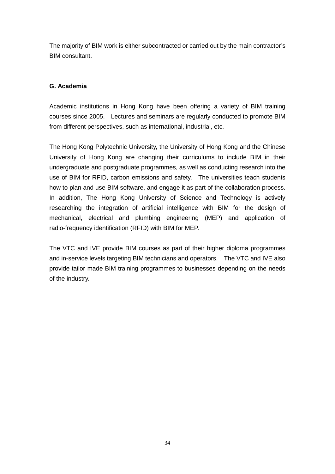The majority of BIM work is either subcontracted or carried out by the main contractor's BIM consultant.

### **G. Academia**

Academic institutions in Hong Kong have been offering a variety of BIM training courses since 2005. Lectures and seminars are regularly conducted to promote BIM from different perspectives, such as international, industrial, etc.

The Hong Kong Polytechnic University, the University of Hong Kong and the Chinese University of Hong Kong are changing their curriculums to include BIM in their undergraduate and postgraduate programmes, as well as conducting research into the use of BIM for RFID, carbon emissions and safety. The universities teach students how to plan and use BIM software, and engage it as part of the collaboration process. In addition, The Hong Kong University of Science and Technology is actively researching the integration of artificial intelligence with BIM for the design of mechanical, electrical and plumbing engineering (MEP) and application of radio-frequency identification (RFID) with BIM for MEP.

The VTC and IVE provide BIM courses as part of their higher diploma programmes and in-service levels targeting BIM technicians and operators. The VTC and IVE also provide tailor made BIM training programmes to businesses depending on the needs of the industry.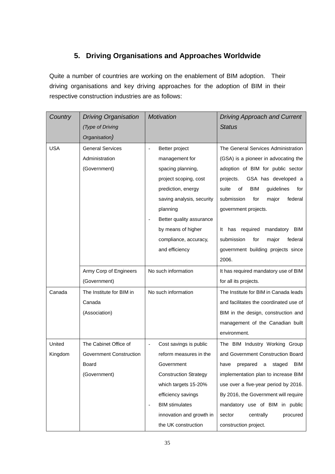# **5. Driving Organisations and Approaches Worldwide**

<span id="page-34-0"></span>Quite a number of countries are working on the enablement of BIM adoption. Their driving organisations and key driving approaches for the adoption of BIM in their respective construction industries are as follows:

| Country    | <b>Driving Organisation</b><br>(Type of Driving | <b>Motivation</b>                                 | <b>Driving Approach and Current</b><br><b>Status</b> |
|------------|-------------------------------------------------|---------------------------------------------------|------------------------------------------------------|
|            | Organisation)                                   |                                                   |                                                      |
| <b>USA</b> | <b>General Services</b>                         | Better project                                    | The General Services Administration                  |
|            | Administration                                  | management for                                    | (GSA) is a pioneer in advocating the                 |
|            | (Government)                                    | spacing planning,                                 | adoption of BIM for public sector                    |
|            |                                                 | project scoping, cost                             | GSA has developed a<br>projects.                     |
|            |                                                 | prediction, energy                                | suite<br>οf<br><b>BIM</b><br>guidelines<br>for       |
|            |                                                 | saving analysis, security                         | submission<br>federal<br>for<br>major                |
|            |                                                 | planning                                          | government projects.                                 |
|            |                                                 | Better quality assurance                          |                                                      |
|            |                                                 | by means of higher                                | has required<br>mandatory<br>BIM<br>It               |
|            |                                                 | compliance, accuracy,                             | for<br>federal<br>submission<br>major                |
|            |                                                 | and efficiency                                    | government building projects since                   |
|            |                                                 |                                                   | 2006.                                                |
|            | Army Corp of Engineers                          | No such information                               | It has required mandatory use of BIM                 |
|            | (Government)                                    |                                                   | for all its projects.                                |
| Canada     | The Institute for BIM in                        | No such information                               | The Institute for BIM in Canada leads                |
|            | Canada                                          |                                                   | and facilitates the coordinated use of               |
|            | (Association)                                   |                                                   | BIM in the design, construction and                  |
|            |                                                 |                                                   | management of the Canadian built                     |
|            |                                                 |                                                   | environment.                                         |
| United     | The Cabinet Office of                           | Cost savings is public                            | The BIM Industry Working Group                       |
| Kingdom    | <b>Government Construction</b>                  | reform measures in the                            | and Government Construction Board                    |
|            | Board                                           | Government                                        | prepared<br>staged<br>BIM<br>have<br>a               |
|            | (Government)                                    | <b>Construction Strategy</b>                      | implementation plan to increase BIM                  |
|            |                                                 | which targets 15-20%                              | use over a five-year period by 2016.                 |
|            |                                                 | efficiency savings                                | By 2016, the Government will require                 |
|            |                                                 | <b>BIM</b> stimulates<br>$\overline{\phantom{a}}$ | mandatory use of BIM in public                       |
|            |                                                 | innovation and growth in                          | procured<br>sector<br>centrally                      |
|            |                                                 | the UK construction                               | construction project.                                |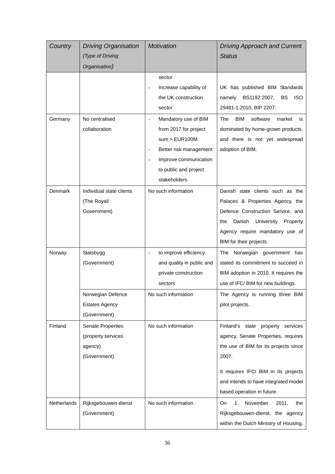| Country     | <b>Driving Organisation</b>                                        | <b>Motivation</b>                                                                                                                                          | <b>Driving Approach and Current</b>                                                                                                                                                                                                      |
|-------------|--------------------------------------------------------------------|------------------------------------------------------------------------------------------------------------------------------------------------------------|------------------------------------------------------------------------------------------------------------------------------------------------------------------------------------------------------------------------------------------|
|             | (Type of Driving                                                   |                                                                                                                                                            | <b>Status</b>                                                                                                                                                                                                                            |
|             | Organisation)                                                      |                                                                                                                                                            |                                                                                                                                                                                                                                          |
|             |                                                                    | sector<br>Increase capability of<br>the UK construction<br>sector                                                                                          | UK has published BIM Standards<br>namely<br>BS1192:2007,<br><b>BS</b><br><b>ISO</b><br>29481-1:2010, BIP 2207.                                                                                                                           |
| Germany     | No centralised<br>collaboration                                    | Mandatory use of BIM<br>from 2017 for project<br>sum > EUR100M<br>Better risk management<br>Improve communication<br>to public and project<br>stakeholders | <b>BIM</b><br>software<br>The<br>market<br>is<br>dominated by home-grown products,<br>and there is not yet widespread<br>adoption of BIM.                                                                                                |
| Denmark     | Individual state clients<br>(The Royal/<br>Government)             | No such information                                                                                                                                        | Danish state clients such as the<br>Palaces & Properties Agency, the<br>Defence Construction Service, and<br>Danish<br>University<br>the<br>Property<br>Agency require mandatory use of<br>BIM for their projects.                       |
| Norway      | Statsbygg<br>(Government)<br>Norwegian Defence                     | to improve efficiency<br>and quality in public and<br>private construction<br>sectors<br>No such information                                               | Norwegian government has<br>The<br>stated its commitment to succeed in<br>BIM adoption in 2010. It requires the<br>use of IFC/ BIM for new buildings.<br>The Agency is running three BIM                                                 |
|             | <b>Estates Agency</b><br>(Government)                              |                                                                                                                                                            | pilot projects.                                                                                                                                                                                                                          |
| Finland     | Senate Properties<br>(property services<br>agency)<br>(Government) | No such information                                                                                                                                        | Finland's state property services<br>agency, Senate Properties, requires<br>the use of BIM for its projects since<br>2007.<br>It requires IFC/ BIM in its projects<br>and intends to have integrated model<br>based operation in future. |
| Netherlands | Rijksgebouwen-dienst<br>(Government)                               | No such information                                                                                                                                        | $\mathbf{1}$<br><b>On</b><br>November<br>2011,<br>the<br>Rijksgebouwen-dienst, the agency<br>within the Dutch Ministry of Housing,                                                                                                       |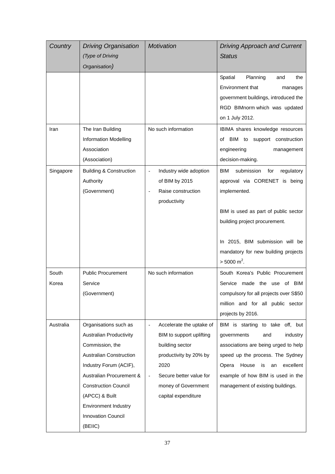| Country   | <b>Driving Organisation</b>        | Motivation                                          | <b>Driving Approach and Current</b>           |
|-----------|------------------------------------|-----------------------------------------------------|-----------------------------------------------|
|           | (Type of Driving                   |                                                     | <b>Status</b>                                 |
|           | Organisation)                      |                                                     |                                               |
|           |                                    |                                                     | Spatial<br>Planning<br>and<br>the             |
|           |                                    |                                                     | Environment that<br>manages                   |
|           |                                    |                                                     | government buildings, introduced the          |
|           |                                    |                                                     | RGD BIMnorm which was updated                 |
|           |                                    |                                                     | on 1 July 2012.                               |
| Iran      | The Iran Building                  | No such information                                 | IBIMA shares knowledge resources              |
|           | <b>Information Modelling</b>       |                                                     | of BIM to support construction                |
|           | Association                        |                                                     | engineering<br>management                     |
|           | (Association)                      |                                                     | decision-making.                              |
| Singapore | <b>Building &amp; Construction</b> | Industry wide adoption                              | <b>BIM</b><br>submission<br>for<br>regulatory |
|           | Authority                          | of BIM by 2015                                      | approval via CORENET is being                 |
|           | (Government)                       | Raise construction                                  | implemented.                                  |
|           |                                    | productivity                                        |                                               |
|           |                                    |                                                     | BIM is used as part of public sector          |
|           |                                    |                                                     | building project procurement.                 |
|           |                                    |                                                     |                                               |
|           |                                    |                                                     | In 2015, BIM submission will be               |
|           |                                    |                                                     | mandatory for new building projects           |
|           |                                    |                                                     | $>$ 5000 m <sup>2</sup> .                     |
| South     | <b>Public Procurement</b>          | No such information                                 | South Korea's Public Procurement              |
| Korea     | Service                            |                                                     | Service made the use of BIM                   |
|           | (Government)                       |                                                     | compulsory for all projects over S\$50        |
|           |                                    |                                                     | million and for all public sector             |
|           |                                    |                                                     | projects by 2016.                             |
| Australia | Organisations such as              | Accelerate the uptake of                            | BIM is starting to take off, but              |
|           | <b>Australian Productivity</b>     | BIM to support uplifting                            | governments<br>and<br>industry                |
|           | Commission, the                    | building sector                                     | associations are being urged to help          |
|           | <b>Australian Construction</b>     | productivity by 20% by                              | speed up the process. The Sydney              |
|           | Industry Forum (ACIF),             | 2020                                                | Opera<br>House<br>excellent<br>is<br>an       |
|           | Australian Procurement &           | Secure better value for<br>$\overline{\phantom{a}}$ | example of how BIM is used in the             |
|           | <b>Construction Council</b>        | money of Government                                 | management of existing buildings.             |
|           | (APCC) & Built                     | capital expenditure                                 |                                               |
|           | <b>Environment Industry</b>        |                                                     |                                               |
|           | <b>Innovation Council</b>          |                                                     |                                               |
|           | (BEIIC)                            |                                                     |                                               |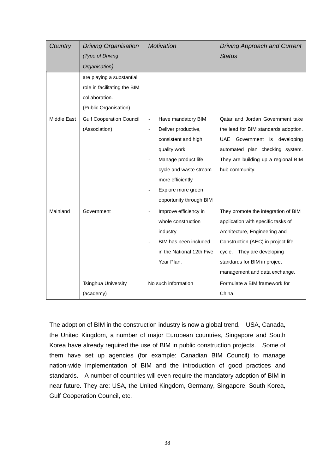| Country     | <b>Driving Organisation</b>     | <b>Motivation</b>                              | <b>Driving Approach and Current</b>  |
|-------------|---------------------------------|------------------------------------------------|--------------------------------------|
|             | (Type of Driving                |                                                | <b>Status</b>                        |
|             | Organisation)                   |                                                |                                      |
|             | are playing a substantial       |                                                |                                      |
|             | role in facilitating the BIM    |                                                |                                      |
|             | collaboration.                  |                                                |                                      |
|             | (Public Organisation)           |                                                |                                      |
| Middle East | <b>Gulf Cooperation Council</b> | Have mandatory BIM<br>$\overline{\phantom{a}}$ | Qatar and Jordan Government take     |
|             | (Association)                   | Deliver productive,<br>$\frac{1}{2}$           | the lead for BIM standards adoption. |
|             |                                 | consistent and high                            | Government is developing<br>UAE      |
|             |                                 | quality work                                   | automated plan checking system.      |
|             |                                 | Manage product life                            | They are building up a regional BIM  |
|             |                                 | cycle and waste stream                         | hub community.                       |
|             |                                 | more efficiently                               |                                      |
|             |                                 | Explore more green                             |                                      |
|             |                                 | opportunity through BIM                        |                                      |
| Mainland    | Government                      | Improve efficiency in                          | They promote the integration of BIM  |
|             |                                 | whole construction                             | application with specific tasks of   |
|             |                                 | industry                                       | Architecture, Engineering and        |
|             |                                 | BIM has been included                          | Construction (AEC) in project life   |
|             |                                 | in the National 12th Five                      | cycle. They are developing           |
|             |                                 | Year Plan.                                     | standards for BIM in project         |
|             |                                 |                                                | management and data exchange.        |
|             | <b>Tsinghua University</b>      | No such information                            | Formulate a BIM framework for        |
|             | (academy)                       |                                                | China.                               |

The adoption of BIM in the construction industry is now a global trend. USA, Canada, the United Kingdom, a number of major European countries, Singapore and South Korea have already required the use of BIM in public construction projects. Some of them have set up agencies (for example: Canadian BIM Council) to manage nation-wide implementation of BIM and the introduction of good practices and standards. A number of countries will even require the mandatory adoption of BIM in near future. They are: USA, the United Kingdom, Germany, Singapore, South Korea, Gulf Cooperation Council, etc.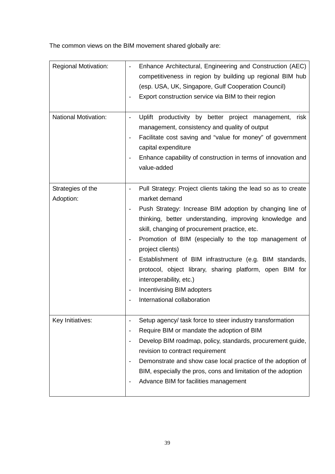The common views on the BIM movement shared globally are:

| <b>Regional Motivation:</b><br><b>National Motivation:</b> | Enhance Architectural, Engineering and Construction (AEC)<br>competitiveness in region by building up regional BIM hub<br>(esp. USA, UK, Singapore, Gulf Cooperation Council)<br>Export construction service via BIM to their region<br>Uplift productivity by better project management,<br>risk<br>management, consistency and quality of output<br>Facilitate cost saving and "value for money" of government<br>capital expenditure<br>Enhance capability of construction in terms of innovation and<br>value-added                              |
|------------------------------------------------------------|------------------------------------------------------------------------------------------------------------------------------------------------------------------------------------------------------------------------------------------------------------------------------------------------------------------------------------------------------------------------------------------------------------------------------------------------------------------------------------------------------------------------------------------------------|
| Strategies of the<br>Adoption:                             | Pull Strategy: Project clients taking the lead so as to create<br>market demand<br>Push Strategy: Increase BIM adoption by changing line of<br>thinking, better understanding, improving knowledge and<br>skill, changing of procurement practice, etc.<br>Promotion of BIM (especially to the top management of<br>project clients)<br>Establishment of BIM infrastructure (e.g. BIM standards,<br>protocol, object library, sharing platform, open BIM for<br>interoperability, etc.)<br>Incentivising BIM adopters<br>International collaboration |
| Key Initiatives:                                           | Setup agency/ task force to steer industry transformation<br>Require BIM or mandate the adoption of BIM<br>Develop BIM roadmap, policy, standards, procurement guide,<br>revision to contract requirement<br>Demonstrate and show case local practice of the adoption of<br>BIM, especially the pros, cons and limitation of the adoption<br>Advance BIM for facilities management                                                                                                                                                                   |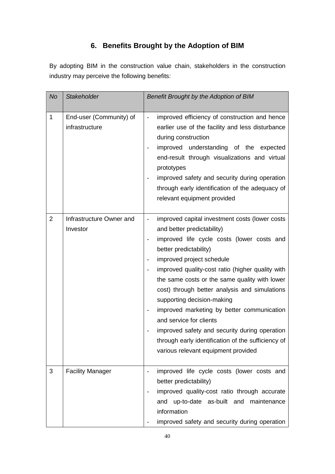# **6. Benefits Brought by the Adoption of BIM**

By adopting BIM in the construction value chain, stakeholders in the construction industry may perceive the following benefits:

| No             | <b>Stakeholder</b>                        | Benefit Brought by the Adoption of BIM                                                                                                                                                                                                                                                                                                                                                                                                                                                                                                                                                                                                                                                                       |
|----------------|-------------------------------------------|--------------------------------------------------------------------------------------------------------------------------------------------------------------------------------------------------------------------------------------------------------------------------------------------------------------------------------------------------------------------------------------------------------------------------------------------------------------------------------------------------------------------------------------------------------------------------------------------------------------------------------------------------------------------------------------------------------------|
| $\mathbf{1}$   | End-user (Community) of<br>infrastructure | improved efficiency of construction and hence<br>$\overline{\phantom{a}}$<br>earlier use of the facility and less disturbance<br>during construction<br>improved understanding of the expected<br>end-result through visualizations and virtual<br>prototypes<br>improved safety and security during operation<br>through early identification of the adequacy of<br>relevant equipment provided                                                                                                                                                                                                                                                                                                             |
| $\overline{2}$ | Infrastructure Owner and<br>Investor      | improved capital investment costs (lower costs<br>and better predictability)<br>improved life cycle costs (lower costs and<br>$\overline{\phantom{a}}$<br>better predictability)<br>improved project schedule<br>$\overline{\phantom{a}}$<br>improved quality-cost ratio (higher quality with<br>$\overline{\phantom{0}}$<br>the same costs or the same quality with lower<br>cost) through better analysis and simulations<br>supporting decision-making<br>improved marketing by better communication<br>$\overline{\phantom{a}}$<br>and service for clients<br>improved safety and security during operation<br>through early identification of the sufficiency of<br>various relevant equipment provided |
| 3              | <b>Facility Manager</b>                   | improved life cycle costs (lower costs and<br>$\overline{\phantom{a}}$<br>better predictability)<br>improved quality-cost ratio through accurate<br>$\overline{\phantom{a}}$<br>and up-to-date as-built and maintenance<br>information<br>improved safety and security during operation                                                                                                                                                                                                                                                                                                                                                                                                                      |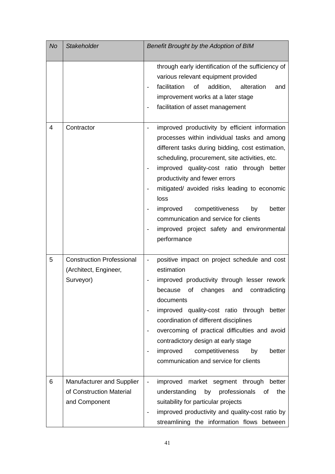| No | <b>Stakeholder</b>                                                     | Benefit Brought by the Adoption of BIM                                                                                                                                                                                                                                                                                                                                                                                                                                                                                                     |
|----|------------------------------------------------------------------------|--------------------------------------------------------------------------------------------------------------------------------------------------------------------------------------------------------------------------------------------------------------------------------------------------------------------------------------------------------------------------------------------------------------------------------------------------------------------------------------------------------------------------------------------|
|    |                                                                        | through early identification of the sufficiency of<br>various relevant equipment provided<br>facilitation<br>addition,<br>of<br>alteration<br>and<br>improvement works at a later stage<br>facilitation of asset management                                                                                                                                                                                                                                                                                                                |
| 4  | Contractor                                                             | improved productivity by efficient information<br>processes within individual tasks and among<br>different tasks during bidding, cost estimation,<br>scheduling, procurement, site activities, etc.<br>improved quality-cost ratio through better<br>productivity and fewer errors<br>mitigated/ avoided risks leading to economic<br>loss<br>improved<br>competitiveness<br>by<br>better<br>communication and service for clients<br>improved project safety and environmental<br>performance                                             |
| 5  | <b>Construction Professional</b><br>(Architect, Engineer,<br>Surveyor) | positive impact on project schedule and cost<br>estimation<br>improved productivity through lesser rework<br>of<br>because<br>changes<br>and<br>contradicting<br>documents<br>improved quality-cost ratio through better<br>$\overline{\phantom{0}}$<br>coordination of different disciplines<br>overcoming of practical difficulties and avoid<br>$\qquad \qquad \blacksquare$<br>contradictory design at early stage<br>improved<br>competitiveness<br>better<br>by<br>$\overline{\phantom{0}}$<br>communication and service for clients |
| 6  | Manufacturer and Supplier<br>of Construction Material<br>and Component | improved market segment through better<br>understanding<br>by<br>professionals<br>the<br>of<br>suitability for particular projects<br>improved productivity and quality-cost ratio by<br>$\qquad \qquad \blacksquare$<br>streamlining the information flows between                                                                                                                                                                                                                                                                        |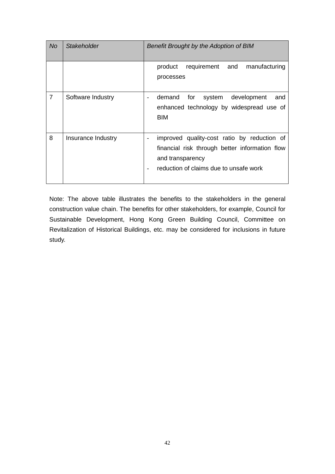| No             | <b>Stakeholder</b> | Benefit Brought by the Adoption of BIM                                                                                                                                                  |  |  |
|----------------|--------------------|-----------------------------------------------------------------------------------------------------------------------------------------------------------------------------------------|--|--|
|                |                    | product<br>requirement<br>and<br>manufacturing<br>processes                                                                                                                             |  |  |
| $\overline{7}$ | Software Industry  | demand<br>for<br>development<br>system<br>and<br>enhanced technology by widespread use of<br><b>BIM</b>                                                                                 |  |  |
| 8              | Insurance Industry | improved quality-cost ratio by reduction of<br>$\overline{\phantom{a}}$<br>financial risk through better information flow<br>and transparency<br>reduction of claims due to unsafe work |  |  |

Note: The above table illustrates the benefits to the stakeholders in the general construction value chain. The benefits for other stakeholders, for example, Council for Sustainable Development, Hong Kong Green Building Council, Committee on Revitalization of Historical Buildings, etc. may be considered for inclusions in future study.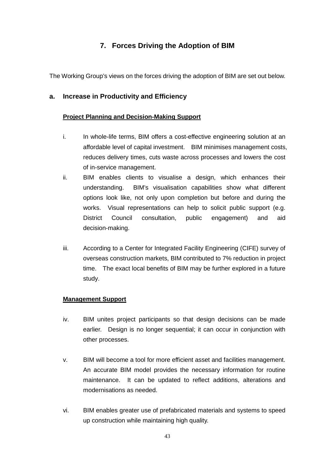# **7. Forces Driving the Adoption of BIM**

The Working Group's views on the forces driving the adoption of BIM are set out below.

### **a. Increase in Productivity and Efficiency**

#### **Project Planning and Decision-Making Support**

- i. In whole-life terms, BIM offers a cost-effective engineering solution at an affordable level of capital investment. BIM minimises management costs, reduces delivery times, cuts waste across processes and lowers the cost of in-service management.
- ii. BIM enables clients to visualise a design, which enhances their understanding. BIM's visualisation capabilities show what different options look like, not only upon completion but before and during the works. Visual representations can help to solicit public support (e.g. District Council consultation, public engagement) and aid decision-making.
- iii. According to a Center for Integrated Facility Engineering (CIFE) survey of overseas construction markets, BIM contributed to 7% reduction in project time. The exact local benefits of BIM may be further explored in a future study.

#### **Management Support**

- iv. BIM unites project participants so that design decisions can be made earlier. Design is no longer sequential; it can occur in conjunction with other processes.
- v. BIM will become a tool for more efficient asset and facilities management. An accurate BIM model provides the necessary information for routine maintenance. It can be updated to reflect additions, alterations and modernisations as needed.
- vi. BIM enables greater use of prefabricated materials and systems to speed up construction while maintaining high quality.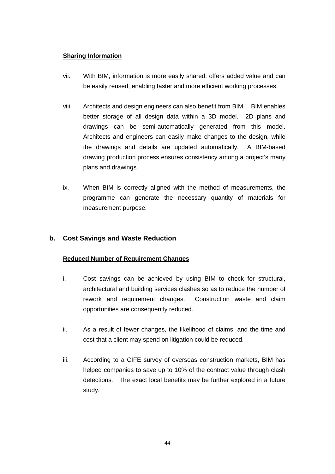#### **Sharing Information**

- vii. With BIM, information is more easily shared, offers added value and can be easily reused, enabling faster and more efficient working processes.
- viii. Architects and design engineers can also benefit from BIM. BIM enables better storage of all design data within a 3D model. 2D plans and drawings can be semi-automatically generated from this model. Architects and engineers can easily make changes to the design, while the drawings and details are updated automatically. A BIM-based drawing production process ensures consistency among a project's many plans and drawings.
- ix. When BIM is correctly aligned with the method of measurements, the programme can generate the necessary quantity of materials for measurement purpose.

## **b. Cost Savings and Waste Reduction**

### **Reduced Number of Requirement Changes**

- i. Cost savings can be achieved by using BIM to check for structural, architectural and building services clashes so as to reduce the number of rework and requirement changes. Construction waste and claim opportunities are consequently reduced.
- ii. As a result of fewer changes, the likelihood of claims, and the time and cost that a client may spend on litigation could be reduced.
- iii. According to a CIFE survey of overseas construction markets, BIM has helped companies to save up to 10% of the contract value through clash detections. The exact local benefits may be further explored in a future study.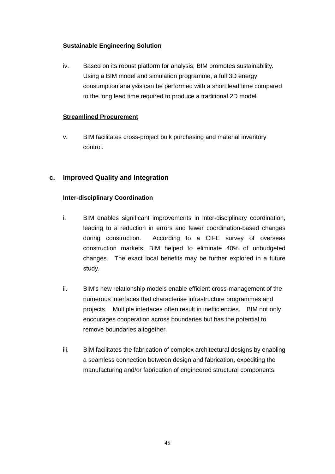### **Sustainable Engineering Solution**

iv. Based on its robust platform for analysis, BIM promotes sustainability. Using a BIM model and simulation programme, a full 3D energy consumption analysis can be performed with a short lead time compared to the long lead time required to produce a traditional 2D model.

#### **Streamlined Procurement**

v. BIM facilitates cross-project bulk purchasing and material inventory control.

### **c. Improved Quality and Integration**

#### **Inter-disciplinary Coordination**

- i. BIM enables significant improvements in inter-disciplinary coordination, leading to a reduction in errors and fewer coordination-based changes during construction. According to a CIFE survey of overseas construction markets, BIM helped to eliminate 40% of unbudgeted changes. The exact local benefits may be further explored in a future study.
- ii. BIM's new relationship models enable efficient cross-management of the numerous interfaces that characterise infrastructure programmes and projects. Multiple interfaces often result in inefficiencies. BIM not only encourages cooperation across boundaries but has the potential to remove boundaries altogether.
- iii. BIM facilitates the fabrication of complex architectural designs by enabling a seamless connection between design and fabrication, expediting the manufacturing and/or fabrication of engineered structural components.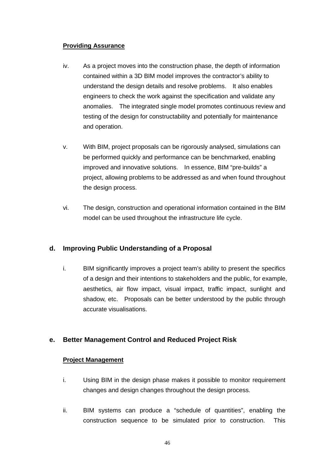#### **Providing Assurance**

- iv. As a project moves into the construction phase, the depth of information contained within a 3D BIM model improves the contractor's ability to understand the design details and resolve problems. It also enables engineers to check the work against the specification and validate any anomalies. The integrated single model promotes continuous review and testing of the design for constructability and potentially for maintenance and operation.
- v. With BIM, project proposals can be rigorously analysed, simulations can be performed quickly and performance can be benchmarked, enabling improved and innovative solutions. In essence, BIM "pre-builds" a project, allowing problems to be addressed as and when found throughout the design process.
- vi. The design, construction and operational information contained in the BIM model can be used throughout the infrastructure life cycle.

## **d. Improving Public Understanding of a Proposal**

i. BIM significantly improves a project team's ability to present the specifics of a design and their intentions to stakeholders and the public, for example, aesthetics, air flow impact, visual impact, traffic impact, sunlight and shadow, etc. Proposals can be better understood by the public through accurate visualisations.

## **e. Better Management Control and Reduced Project Risk**

#### **Project Management**

- i. Using BIM in the design phase makes it possible to monitor requirement changes and design changes throughout the design process.
- ii. BIM systems can produce a "schedule of quantities", enabling the construction sequence to be simulated prior to construction. This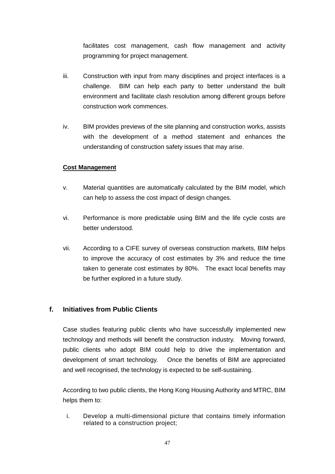facilitates cost management, cash flow management and activity programming for project management.

- iii. Construction with input from many disciplines and project interfaces is a challenge. BIM can help each party to better understand the built environment and facilitate clash resolution among different groups before construction work commences.
- iv. BIM provides previews of the site planning and construction works, assists with the development of a method statement and enhances the understanding of construction safety issues that may arise.

### **Cost Management**

- v. Material quantities are automatically calculated by the BIM model, which can help to assess the cost impact of design changes.
- vi. Performance is more predictable using BIM and the life cycle costs are better understood.
- vii. According to a CIFE survey of overseas construction markets, BIM helps to improve the accuracy of cost estimates by 3% and reduce the time taken to generate cost estimates by 80%. The exact local benefits may be further explored in a future study.

### **f. Initiatives from Public Clients**

Case studies featuring public clients who have successfully implemented new technology and methods will benefit the construction industry. Moving forward, public clients who adopt BIM could help to drive the implementation and development of smart technology. Once the benefits of BIM are appreciated and well recognised, the technology is expected to be self-sustaining.

According to two public clients, the Hong Kong Housing Authority and MTRC, BIM helps them to:

i. Develop a multi-dimensional picture that contains timely information related to a construction project;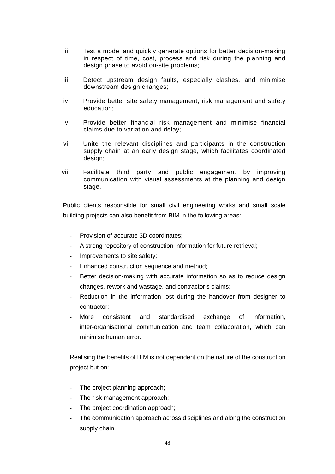- ii. Test a model and quickly generate options for better decision-making in respect of time, cost, process and risk during the planning and design phase to avoid on-site problems;
- iii. Detect upstream design faults, especially clashes, and minimise downstream design changes;
- iv. Provide better site safety management, risk management and safety education;
- v. Provide better financial risk management and minimise financial claims due to variation and delay;
- vi. Unite the relevant disciplines and participants in the construction supply chain at an early design stage, which facilitates coordinated design;
- vii. Facilitate third party and public engagement by improving communication with visual assessments at the planning and design stage.

Public clients responsible for small civil engineering works and small scale building projects can also benefit from BIM in the following areas:

- Provision of accurate 3D coordinates;
- A strong repository of construction information for future retrieval;
- Improvements to site safety;
- Enhanced construction sequence and method;
- Better decision-making with accurate information so as to reduce design changes, rework and wastage, and contractor's claims;
- Reduction in the information lost during the handover from designer to contractor;
- More consistent and standardised exchange of information, inter-organisational communication and team collaboration, which can minimise human error.

Realising the benefits of BIM is not dependent on the nature of the construction project but on:

- The project planning approach;
- The risk management approach;
- The project coordination approach;
- The communication approach across disciplines and along the construction supply chain.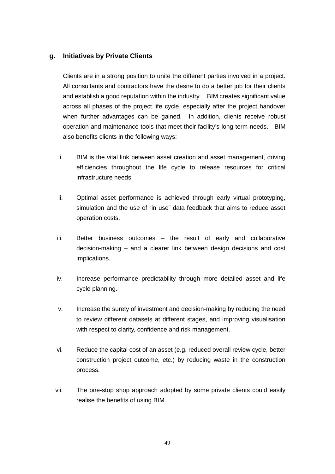### **g. Initiatives by Private Clients**

Clients are in a strong position to unite the different parties involved in a project. All consultants and contractors have the desire to do a better job for their clients and establish a good reputation within the industry. BIM creates significant value across all phases of the project life cycle, especially after the project handover when further advantages can be gained. In addition, clients receive robust operation and maintenance tools that meet their facility's long-term needs. BIM also benefits clients in the following ways:

- i. BIM is the vital link between asset creation and asset management, driving efficiencies throughout the life cycle to release resources for critical infrastructure needs.
- ii. Optimal asset performance is achieved through early virtual prototyping, simulation and the use of "in use" data feedback that aims to reduce asset operation costs.
- iii. Better business outcomes the result of early and collaborative decision-making – and a clearer link between design decisions and cost implications.
- iv. Increase performance predictability through more detailed asset and life cycle planning.
- v. Increase the surety of investment and decision-making by reducing the need to review different datasets at different stages, and improving visualisation with respect to clarity, confidence and risk management.
- vi. Reduce the capital cost of an asset (e.g. reduced overall review cycle, better construction project outcome, etc.) by reducing waste in the construction process.
- vii. The one-stop shop approach adopted by some private clients could easily realise the benefits of using BIM.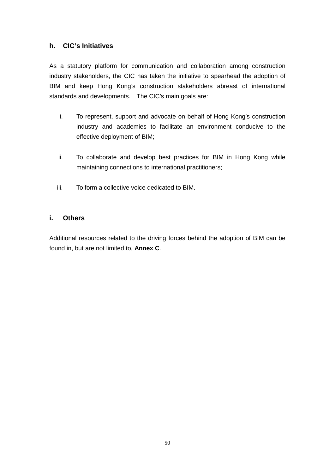## **h. CIC's Initiatives**

As a statutory platform for communication and collaboration among construction industry stakeholders, the CIC has taken the initiative to spearhead the adoption of BIM and keep Hong Kong's construction stakeholders abreast of international standards and developments. The CIC's main goals are:

- i. To represent, support and advocate on behalf of Hong Kong's construction industry and academies to facilitate an environment conducive to the effective deployment of BIM;
- ii. To collaborate and develop best practices for BIM in Hong Kong while maintaining connections to international practitioners;
- iii. To form a collective voice dedicated to BIM.

### **i. Others**

Additional resources related to the driving forces behind the adoption of BIM can be found in, but are not limited to, **Annex C**.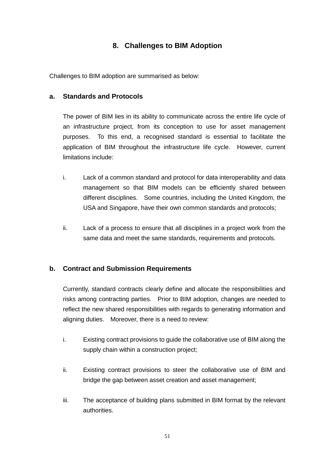# **8. Challenges to BIM Adoption**

Challenges to BIM adoption are summarised as below:

### **a. Standards and Protocols**

The power of BIM lies in its ability to communicate across the entire life cycle of an infrastructure project, from its conception to use for asset management purposes. To this end, a recognised standard is essential to facilitate the application of BIM throughout the infrastructure life cycle. However, current limitations include:

- i. Lack of a common standard and protocol for data interoperability and data management so that BIM models can be efficiently shared between different disciplines. Some countries, including the United Kingdom, the USA and Singapore, have their own common standards and protocols;
- ii. Lack of a process to ensure that all disciplines in a project work from the same data and meet the same standards, requirements and protocols.

### **b. Contract and Submission Requirements**

Currently, standard contracts clearly define and allocate the responsibilities and risks among contracting parties. Prior to BIM adoption, changes are needed to reflect the new shared responsibilities with regards to generating information and aligning duties. Moreover, there is a need to review:

- i. Existing contract provisions to guide the collaborative use of BIM along the supply chain within a construction project;
- ii. Existing contract provisions to steer the collaborative use of BIM and bridge the gap between asset creation and asset management;
- iii. The acceptance of building plans submitted in BIM format by the relevant authorities.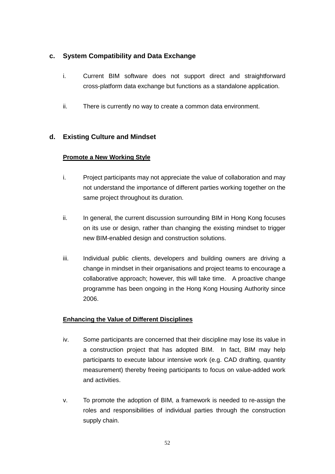## **c. System Compatibility and Data Exchange**

- i. Current BIM software does not support direct and straightforward cross-platform data exchange but functions as a standalone application.
- ii. There is currently no way to create a common data environment.

# **d. Existing Culture and Mindset**

## **Promote a New Working Style**

- i. Project participants may not appreciate the value of collaboration and may not understand the importance of different parties working together on the same project throughout its duration.
- ii. In general, the current discussion surrounding BIM in Hong Kong focuses on its use or design, rather than changing the existing mindset to trigger new BIM-enabled design and construction solutions.
- iii. Individual public clients, developers and building owners are driving a change in mindset in their organisations and project teams to encourage a collaborative approach; however, this will take time. A proactive change programme has been ongoing in the Hong Kong Housing Authority since 2006.

### **Enhancing the Value of Different Disciplines**

- iv. Some participants are concerned that their discipline may lose its value in a construction project that has adopted BIM. In fact, BIM may help participants to execute labour intensive work (e.g. CAD drafting, quantity measurement) thereby freeing participants to focus on value-added work and activities.
- v. To promote the adoption of BIM, a framework is needed to re-assign the roles and responsibilities of individual parties through the construction supply chain.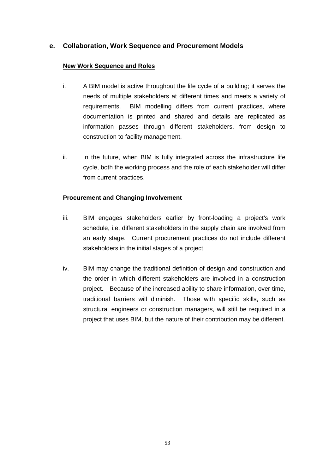## **e. Collaboration, Work Sequence and Procurement Models**

#### **New Work Sequence and Roles**

- i. A BIM model is active throughout the life cycle of a building; it serves the needs of multiple stakeholders at different times and meets a variety of requirements. BIM modelling differs from current practices, where documentation is printed and shared and details are replicated as information passes through different stakeholders, from design to construction to facility management.
- ii. In the future, when BIM is fully integrated across the infrastructure life cycle, both the working process and the role of each stakeholder will differ from current practices.

#### **Procurement and Changing Involvement**

- iii. BIM engages stakeholders earlier by front-loading a project's work schedule, i.e. different stakeholders in the supply chain are involved from an early stage. Current procurement practices do not include different stakeholders in the initial stages of a project.
- iv. BIM may change the traditional definition of design and construction and the order in which different stakeholders are involved in a construction project. Because of the increased ability to share information, over time, traditional barriers will diminish. Those with specific skills, such as structural engineers or construction managers, will still be required in a project that uses BIM, but the nature of their contribution may be different.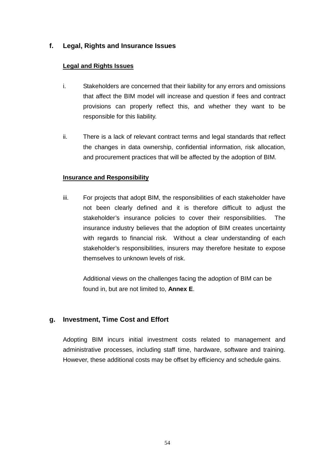## **f. Legal, Rights and Insurance Issues**

#### **Legal and Rights Issues**

- i. Stakeholders are concerned that their liability for any errors and omissions that affect the BIM model will increase and question if fees and contract provisions can properly reflect this, and whether they want to be responsible for this liability.
- ii. There is a lack of relevant contract terms and legal standards that reflect the changes in data ownership, confidential information, risk allocation, and procurement practices that will be affected by the adoption of BIM.

#### **Insurance and Responsibility**

iii. For projects that adopt BIM, the responsibilities of each stakeholder have not been clearly defined and it is therefore difficult to adjust the stakeholder's insurance policies to cover their responsibilities. The insurance industry believes that the adoption of BIM creates uncertainty with regards to financial risk. Without a clear understanding of each stakeholder's responsibilities, insurers may therefore hesitate to expose themselves to unknown levels of risk.

Additional views on the challenges facing the adoption of BIM can be found in, but are not limited to, **Annex E**.

### **g. Investment, Time Cost and Effort**

Adopting BIM incurs initial investment costs related to management and administrative processes, including staff time, hardware, software and training. However, these additional costs may be offset by efficiency and schedule gains.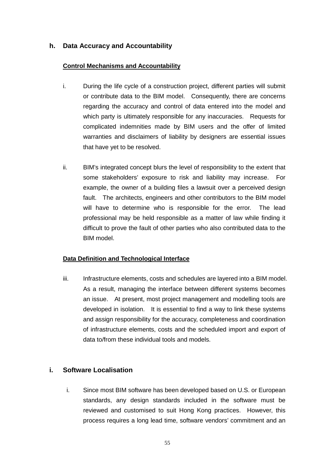## **h. Data Accuracy and Accountability**

#### **Control Mechanisms and Accountability**

- i. During the life cycle of a construction project, different parties will submit or contribute data to the BIM model. Consequently, there are concerns regarding the accuracy and control of data entered into the model and which party is ultimately responsible for any inaccuracies. Requests for complicated indemnities made by BIM users and the offer of limited warranties and disclaimers of liability by designers are essential issues that have yet to be resolved.
- ii. BIM's integrated concept blurs the level of responsibility to the extent that some stakeholders' exposure to risk and liability may increase. For example, the owner of a building files a lawsuit over a perceived design fault. The architects, engineers and other contributors to the BIM model will have to determine who is responsible for the error. The lead professional may be held responsible as a matter of law while finding it difficult to prove the fault of other parties who also contributed data to the BIM model.

### **Data Definition and Technological Interface**

iii. Infrastructure elements, costs and schedules are layered into a BIM model. As a result, managing the interface between different systems becomes an issue. At present, most project management and modelling tools are developed in isolation. It is essential to find a way to link these systems and assign responsibility for the accuracy, completeness and coordination of infrastructure elements, costs and the scheduled import and export of data to/from these individual tools and models.

### **i. Software Localisation**

i. Since most BIM software has been developed based on U.S. or European standards, any design standards included in the software must be reviewed and customised to suit Hong Kong practices. However, this process requires a long lead time, software vendors' commitment and an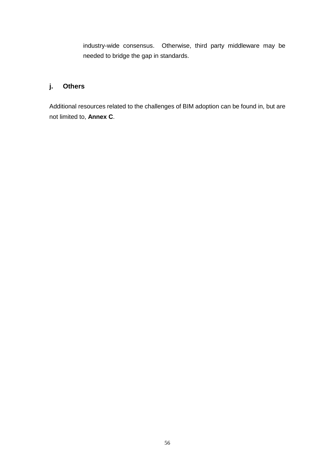industry-wide consensus. Otherwise, third party middleware may be needed to bridge the gap in standards.

# **j. Others**

Additional resources related to the challenges of BIM adoption can be found in, but are not limited to, **Annex C**.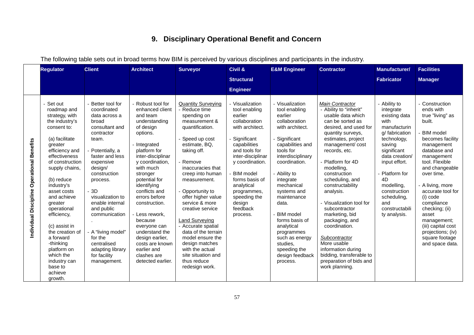# **9. Disciplinary Operational Benefit and Concern**

The following table sets out in broad terms how BIM is perceived by various disciplines and participants in the industry.

|                                            | <b>Regulator</b>                                                                                                                                                                                                                                                                                                                                                                                                             | <b>Client</b>                                                                                                                                                                                                                                                                                                                                                           | <b>Architect</b>                                                                                                                                                                                                                                                                                                                                                                                                                   | <b>Surveyor</b>                                                                                                                                                                                                                                                                                                                                                                                                                                                                     | Civil &                                                                                                                                                                                                                                                                                    | <b>E&amp;M Engineer</b>                                                                                                                                                                                                                                                                                                                                                                                | <b>Contractor</b>                                                                                                                                                                                                                                                                                                                                                                                                                                                                                                                       | <b>Manufacturer/</b>                                                                                                                                                                                                                                                        | <b>Facilities</b>                                                                                                                                                                                                                                                                                                                                                                        |
|--------------------------------------------|------------------------------------------------------------------------------------------------------------------------------------------------------------------------------------------------------------------------------------------------------------------------------------------------------------------------------------------------------------------------------------------------------------------------------|-------------------------------------------------------------------------------------------------------------------------------------------------------------------------------------------------------------------------------------------------------------------------------------------------------------------------------------------------------------------------|------------------------------------------------------------------------------------------------------------------------------------------------------------------------------------------------------------------------------------------------------------------------------------------------------------------------------------------------------------------------------------------------------------------------------------|-------------------------------------------------------------------------------------------------------------------------------------------------------------------------------------------------------------------------------------------------------------------------------------------------------------------------------------------------------------------------------------------------------------------------------------------------------------------------------------|--------------------------------------------------------------------------------------------------------------------------------------------------------------------------------------------------------------------------------------------------------------------------------------------|--------------------------------------------------------------------------------------------------------------------------------------------------------------------------------------------------------------------------------------------------------------------------------------------------------------------------------------------------------------------------------------------------------|-----------------------------------------------------------------------------------------------------------------------------------------------------------------------------------------------------------------------------------------------------------------------------------------------------------------------------------------------------------------------------------------------------------------------------------------------------------------------------------------------------------------------------------------|-----------------------------------------------------------------------------------------------------------------------------------------------------------------------------------------------------------------------------------------------------------------------------|------------------------------------------------------------------------------------------------------------------------------------------------------------------------------------------------------------------------------------------------------------------------------------------------------------------------------------------------------------------------------------------|
|                                            |                                                                                                                                                                                                                                                                                                                                                                                                                              |                                                                                                                                                                                                                                                                                                                                                                         |                                                                                                                                                                                                                                                                                                                                                                                                                                    |                                                                                                                                                                                                                                                                                                                                                                                                                                                                                     | <b>Structural</b>                                                                                                                                                                                                                                                                          |                                                                                                                                                                                                                                                                                                                                                                                                        |                                                                                                                                                                                                                                                                                                                                                                                                                                                                                                                                         | <b>Fabricator</b>                                                                                                                                                                                                                                                           | <b>Manager</b>                                                                                                                                                                                                                                                                                                                                                                           |
|                                            |                                                                                                                                                                                                                                                                                                                                                                                                                              |                                                                                                                                                                                                                                                                                                                                                                         |                                                                                                                                                                                                                                                                                                                                                                                                                                    |                                                                                                                                                                                                                                                                                                                                                                                                                                                                                     | <b>Engineer</b>                                                                                                                                                                                                                                                                            |                                                                                                                                                                                                                                                                                                                                                                                                        |                                                                                                                                                                                                                                                                                                                                                                                                                                                                                                                                         |                                                                                                                                                                                                                                                                             |                                                                                                                                                                                                                                                                                                                                                                                          |
| Individual Discipline Operational Benefits | Set out<br>roadmap and<br>strategy, with<br>the industry's<br>consent to:<br>(a) facilitate<br>greater<br>efficiency and<br>effectiveness<br>of construction<br>supply chains,<br>(b) reduce<br>industry's<br>asset costs<br>and achieve<br>greater<br>operational<br>efficiency,<br>(c) assist in<br>the creation of<br>a forward<br>-thinking<br>platform on<br>which the<br>industry can<br>base to<br>achieve<br>growth. | Better tool for<br>coordinated<br>data across a<br>broad<br>consultant and<br>contractor<br>team.<br>Potentially, a<br>faster and less<br>expensive<br>design/<br>construction<br>process.<br>3D<br>visualization to<br>enable internal<br>and public<br>communication<br>A "living model"<br>for the<br>centralised<br>adapting library<br>for facility<br>management. | Robust tool for<br>enhanced client<br>and team<br>understanding<br>of design<br>options.<br>- Integrated<br>platform for<br>inter-disciplinar<br>y coordination,<br>with much<br>stronger<br>potential for<br>identifying<br>conflicts and<br>errors before<br>construction.<br>Less rework,<br>because<br>everyone can<br>understand the<br>design earlier,<br>costs are known<br>earlier and<br>clashes are<br>detected earlier. | <b>Quantity Surveying</b><br>Reduce time<br>spending on<br>measurement &<br>quantification.<br>Speed up cost<br>estimate, BQ,<br>taking off.<br>Remove<br>inaccuracies that<br>creep into human<br>measurement.<br>Opportunity to<br>offer higher value<br>service & more<br>creative service<br><b>Land Surveying</b><br>- Accurate spatial<br>data of the terrain<br>model ensure the<br>design matches<br>with the actual<br>site situation and<br>thus reduce<br>redesign work. | Visualization<br>tool enabling<br>earlier<br>collaboration<br>with architect.<br>Significant<br>capabilities<br>and tools for<br>inter-disciplinar<br>y coordination.<br><b>BIM</b> model<br>forms basis of<br>analytical<br>programmes,<br>speeding the<br>design<br>feedback<br>process. | - Visualization<br>tool enabling<br>earlier<br>collaboration<br>with architect.<br>Significant<br>capabilities and<br>tools for<br>interdisciplinary<br>coordination.<br>- Ability to<br>integrate<br>mechanical<br>systems and<br>maintenance<br>data.<br><b>BIM</b> model<br>forms basis of<br>analytical<br>programmes<br>such as energy<br>studies,<br>speeding the<br>design feedback<br>process. | <b>Main Contractor</b><br>- Ability to "inherit"<br>usable data which<br>can be sorted as<br>desired, and used for<br>quantity surveys,<br>estimates, project<br>management/cost<br>records, etc.<br>Platform for 4D<br>modelling,<br>construction<br>scheduling, and<br>constructability<br>analysis.<br>- Visualization tool for<br>subcontractor<br>marketing, bid<br>packaging, and<br>coordination.<br>Subcontractor<br>More usable<br>information during<br>bidding, transferable to<br>preparation of bids and<br>work planning. | - Ability to<br>integrate<br>existing data<br>with<br>manufacturin<br>g/ fabrication<br>technology,<br>saving<br>significant<br>data creation/<br>input effort.<br>Platform for<br>4D<br>modelling,<br>construction<br>scheduling,<br>and<br>constructabili<br>ty analysis. | Construction<br>ends with<br>true "living" as<br>built.<br><b>BIM</b> model<br>becomes facility<br>management<br>database and<br>management<br>tool. Flexible<br>and changeable<br>over time.<br>A living, more<br>accurate tool for<br>(i) code<br>compliance<br>checking; (ii)<br>asset<br>management;<br>(iii) capital cost<br>projections; (iv)<br>square footage<br>and space data. |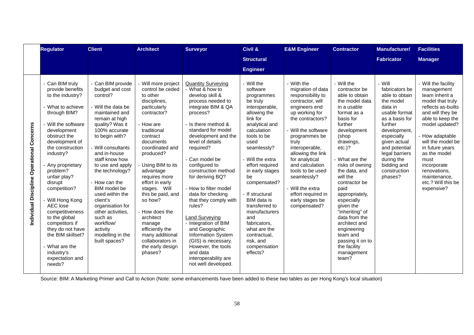|                                            | <b>Regulator</b>                                                                                                                                                                                                                                                                                                                                                                                                                                                            | <b>Client</b>                                                                                                                                                                                                                                                                                                                                                                                                                             | <b>Architect</b>                                                                                                                                                                                                                                                                                                                                                                                                                             | <b>Surveyor</b>                                                                                                                                                                                                                                                                                                                                                                                                                                                                                                                                                                           | Civil &                                                                                                                                                                                                                                                                                                                                                                                                                    | <b>E&amp;M Engineer</b>                                                                                                                                                                                                                                                                                                                                                      | <b>Contractor</b>                                                                                                                                                                                                                                                                                                                                                                                                                                          | <b>Manufacturer/</b>                                                                                                                                                                                                                                      | <b>Facilities</b>                                                                                                                                                                                                                                                                                                         |
|--------------------------------------------|-----------------------------------------------------------------------------------------------------------------------------------------------------------------------------------------------------------------------------------------------------------------------------------------------------------------------------------------------------------------------------------------------------------------------------------------------------------------------------|-------------------------------------------------------------------------------------------------------------------------------------------------------------------------------------------------------------------------------------------------------------------------------------------------------------------------------------------------------------------------------------------------------------------------------------------|----------------------------------------------------------------------------------------------------------------------------------------------------------------------------------------------------------------------------------------------------------------------------------------------------------------------------------------------------------------------------------------------------------------------------------------------|-------------------------------------------------------------------------------------------------------------------------------------------------------------------------------------------------------------------------------------------------------------------------------------------------------------------------------------------------------------------------------------------------------------------------------------------------------------------------------------------------------------------------------------------------------------------------------------------|----------------------------------------------------------------------------------------------------------------------------------------------------------------------------------------------------------------------------------------------------------------------------------------------------------------------------------------------------------------------------------------------------------------------------|------------------------------------------------------------------------------------------------------------------------------------------------------------------------------------------------------------------------------------------------------------------------------------------------------------------------------------------------------------------------------|------------------------------------------------------------------------------------------------------------------------------------------------------------------------------------------------------------------------------------------------------------------------------------------------------------------------------------------------------------------------------------------------------------------------------------------------------------|-----------------------------------------------------------------------------------------------------------------------------------------------------------------------------------------------------------------------------------------------------------|---------------------------------------------------------------------------------------------------------------------------------------------------------------------------------------------------------------------------------------------------------------------------------------------------------------------------|
|                                            |                                                                                                                                                                                                                                                                                                                                                                                                                                                                             |                                                                                                                                                                                                                                                                                                                                                                                                                                           |                                                                                                                                                                                                                                                                                                                                                                                                                                              |                                                                                                                                                                                                                                                                                                                                                                                                                                                                                                                                                                                           | <b>Structural</b>                                                                                                                                                                                                                                                                                                                                                                                                          |                                                                                                                                                                                                                                                                                                                                                                              |                                                                                                                                                                                                                                                                                                                                                                                                                                                            | <b>Fabricator</b>                                                                                                                                                                                                                                         | <b>Manager</b>                                                                                                                                                                                                                                                                                                            |
|                                            |                                                                                                                                                                                                                                                                                                                                                                                                                                                                             |                                                                                                                                                                                                                                                                                                                                                                                                                                           |                                                                                                                                                                                                                                                                                                                                                                                                                                              |                                                                                                                                                                                                                                                                                                                                                                                                                                                                                                                                                                                           | <b>Engineer</b>                                                                                                                                                                                                                                                                                                                                                                                                            |                                                                                                                                                                                                                                                                                                                                                                              |                                                                                                                                                                                                                                                                                                                                                                                                                                                            |                                                                                                                                                                                                                                                           |                                                                                                                                                                                                                                                                                                                           |
| Individual Discipline Operational Concerns | - Can BIM truly<br>provide benefits<br>to the industry?<br>- What to achieve<br>through BIM?<br>- Will the software<br>development<br>obstruct the<br>development of<br>the construction<br>industry?<br>Any proprietary<br>problem?<br>unfair play?<br>disrupt<br>competition?<br>- Will Hong Kong<br>AEC lose<br>competitiveness<br>to the global<br>competitors if<br>they do not have<br>the BIM skillset?<br>- What are the<br>industry's<br>expectation and<br>needs? | Can BIM provide<br>budget and cost<br>control?<br>Will the data be<br>maintained and<br>remain at high<br>quality? Was it<br>100% accurate<br>to begin with?<br>Will consultants<br>and in-house<br>staff know how<br>to use and apply<br>the technology?<br>How can the<br>BIM model be<br>used within the<br>client's<br>organisation for<br>other activities,<br>such as<br>workflow/<br>activity<br>modelling in the<br>built spaces? | Will more project<br>control be ceded<br>to other<br>disciplines,<br>particularly<br>contractor?<br>- How are<br>traditional<br>contract<br>documents<br>coordinated and<br>produced?<br>Using BIM to its<br>advantage<br>requires more<br>effort in early<br>stages. Will<br>this be paid, and<br>so how?<br>- How does the<br>architect<br>manage<br>efficiently the<br>many additional<br>collaborators in<br>the early design<br>phases? | <b>Quantity Surveying</b><br>- What & how to<br>develop skill &<br>process needed to<br>integrate BIM & QA<br>process?<br>Is there method &<br>standard for model<br>development and the<br>level of details<br>required?<br>- Can model be<br>configured to<br>construction method<br>for deriving BQ?<br>- How to filter model<br>data for checking<br>that they comply with<br>rules?<br>Land Surveying<br>- Integration of BIM<br>and Geographic<br><b>Information System</b><br>(GIS) is necessary.<br>However, the tools<br>and data<br>interoperability are<br>not well developed. | - Will the<br>software<br>programmes<br>be truly<br>interoperable,<br>allowing the<br>link for<br>analytical and<br>calculation<br>tools to be<br>used<br>seamlessly?<br>- Will the extra<br>effort required<br>in early stages<br>be<br>compensated?<br>- If structural<br>BIM data is<br>transferred to<br>manufacturers<br>and<br>fabricators.<br>what are the<br>contractual,<br>risk, and<br>compensation<br>effects? | - With the<br>migration of data<br>responsibility to<br>contractor, will<br>engineers end<br>up working for<br>the contractors?<br>- Will the software<br>programmes be<br>truly<br>interoperable,<br>allowing the link<br>for analytical<br>and calculation<br>tools to be used<br>seamlessly?<br>- Will the extra<br>effort required in<br>early stages be<br>compensated? | - Will the<br>contractor be<br>able to obtain<br>the model data<br>in a usable<br>format as a<br>basis for<br>further<br>development<br>(shop<br>drawings,<br>$etc.$ )?<br>- What are the<br>risks of owning<br>the data, and<br>will the<br>contractor be<br>paid<br>appropriately,<br>especially<br>given the<br>"inheriting" of<br>data from the<br>architect and<br>engineering<br>team and<br>passing it on to<br>the facility<br>management<br>team? | - Will<br>fabricators be<br>able to obtain<br>the model<br>data in<br>usable format<br>as a basis for<br>further<br>development,<br>especially<br>given actual<br>and potential<br>legal barriers<br>during the<br>bidding and<br>construction<br>phases? | Will the facility<br>management<br>team inherit a<br>model that truly<br>reflects as-builts<br>and will they be<br>able to keep the<br>model updated?<br>How adaptable<br>will the model be<br>in future years<br>as the model<br>must<br>incorporate<br>renovations,<br>maintenance,<br>etc.? Will this be<br>expensive? |

Source: BIM: A Marketing Primer and Call to Action (Note: some enhancements have been added to these two tables as per Hong Kong's local situation)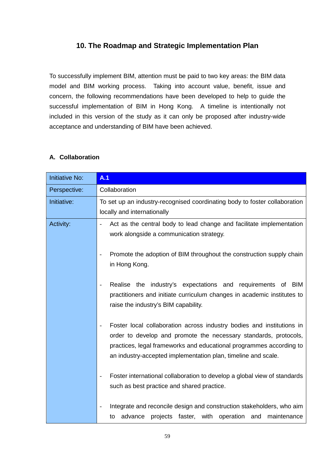# **10. The Roadmap and Strategic Implementation Plan**

To successfully implement BIM, attention must be paid to two key areas: the BIM data model and BIM working process. Taking into account value, benefit, issue and concern, the following recommendations have been developed to help to guide the successful implementation of BIM in Hong Kong. A timeline is intentionally not included in this version of the study as it can only be proposed after industry-wide acceptance and understanding of BIM have been achieved.

## **A. Collaboration**

| <b>Initiative No:</b> | A.1                                                                                                                                                                                                                                                                               |
|-----------------------|-----------------------------------------------------------------------------------------------------------------------------------------------------------------------------------------------------------------------------------------------------------------------------------|
| Perspective:          | Collaboration                                                                                                                                                                                                                                                                     |
| Initiative:           | To set up an industry-recognised coordinating body to foster collaboration<br>locally and internationally                                                                                                                                                                         |
| Activity:             | Act as the central body to lead change and facilitate implementation<br>work alongside a communication strategy.                                                                                                                                                                  |
|                       | Promote the adoption of BIM throughout the construction supply chain<br>in Hong Kong.                                                                                                                                                                                             |
|                       | Realise the industry's expectations and requirements of<br>BIM<br>$\overline{\phantom{a}}$<br>practitioners and initiate curriculum changes in academic institutes to<br>raise the industry's BIM capability.                                                                     |
|                       | Foster local collaboration across industry bodies and institutions in<br>order to develop and promote the necessary standards, protocols,<br>practices, legal frameworks and educational programmes according to<br>an industry-accepted implementation plan, timeline and scale. |
|                       | Foster international collaboration to develop a global view of standards<br>$\overline{\phantom{m}}$<br>such as best practice and shared practice.                                                                                                                                |
|                       | Integrate and reconcile design and construction stakeholders, who aim<br>projects faster, with operation and<br>maintenance<br>advance<br>to                                                                                                                                      |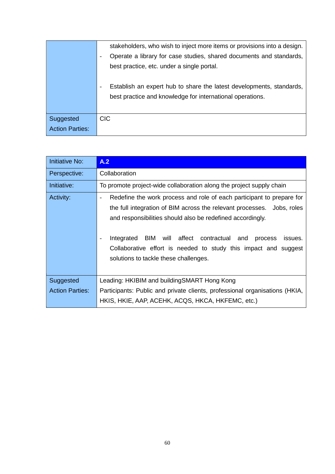|                        | stakeholders, who wish to inject more items or provisions into a design.                         |
|------------------------|--------------------------------------------------------------------------------------------------|
|                        | Operate a library for case studies, shared documents and standards,<br>$\overline{\phantom{a}}$  |
|                        | best practice, etc. under a single portal.                                                       |
|                        |                                                                                                  |
|                        | Establish an expert hub to share the latest developments, standards,<br>$\overline{\phantom{a}}$ |
|                        | best practice and knowledge for international operations.                                        |
|                        |                                                                                                  |
| Suggested              | CIC.                                                                                             |
| <b>Action Parties:</b> |                                                                                                  |

| <b>Initiative No:</b>               | A.2                                                                                                                                                                                                                                                                                                                                                                                                                                                         |
|-------------------------------------|-------------------------------------------------------------------------------------------------------------------------------------------------------------------------------------------------------------------------------------------------------------------------------------------------------------------------------------------------------------------------------------------------------------------------------------------------------------|
| Perspective:                        | Collaboration                                                                                                                                                                                                                                                                                                                                                                                                                                               |
| Initiative:                         | To promote project-wide collaboration along the project supply chain                                                                                                                                                                                                                                                                                                                                                                                        |
| Activity:                           | Redefine the work process and role of each participant to prepare for<br>$\overline{\phantom{a}}$<br>the full integration of BIM across the relevant processes. Jobs, roles<br>and responsibilities should also be redefined accordingly.<br>BIM<br>will affect contractual and<br>Integrated<br>process<br>issues.<br>$\overline{\phantom{a}}$<br>Collaborative effort is needed to study this impact and suggest<br>solutions to tackle these challenges. |
| Suggested<br><b>Action Parties:</b> | Leading: HKIBIM and building SMART Hong Kong<br>Participants: Public and private clients, professional organisations (HKIA,<br>HKIS, HKIE, AAP, ACEHK, ACQS, HKCA, HKFEMC, etc.)                                                                                                                                                                                                                                                                            |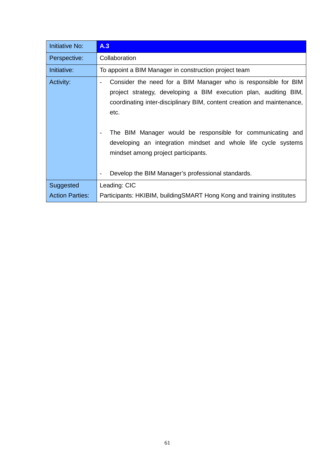| <b>Initiative No:</b>  | A.3                                                                                                                                                                                                                                              |
|------------------------|--------------------------------------------------------------------------------------------------------------------------------------------------------------------------------------------------------------------------------------------------|
| Perspective:           | Collaboration                                                                                                                                                                                                                                    |
| Initiative:            | To appoint a BIM Manager in construction project team                                                                                                                                                                                            |
| Activity:              | Consider the need for a BIM Manager who is responsible for BIM<br>$\overline{\phantom{a}}$<br>project strategy, developing a BIM execution plan, auditing BIM,<br>coordinating inter-disciplinary BIM, content creation and maintenance,<br>etc. |
|                        | The BIM Manager would be responsible for communicating and<br>developing an integration mindset and whole life cycle systems<br>mindset among project participants.<br>Develop the BIM Manager's professional standards.                         |
| Suggested              | Leading: CIC                                                                                                                                                                                                                                     |
| <b>Action Parties:</b> | Participants: HKIBIM, buildingSMART Hong Kong and training institutes                                                                                                                                                                            |
|                        |                                                                                                                                                                                                                                                  |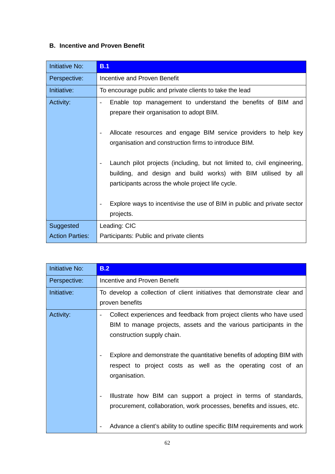### **B. Incentive and Proven Benefit**

| <b>Initiative No:</b>  | B.1                                                                                                                                                                                                                                                                                                    |
|------------------------|--------------------------------------------------------------------------------------------------------------------------------------------------------------------------------------------------------------------------------------------------------------------------------------------------------|
| Perspective:           | Incentive and Proven Benefit                                                                                                                                                                                                                                                                           |
| Initiative:            | To encourage public and private clients to take the lead                                                                                                                                                                                                                                               |
| Activity:              | Enable top management to understand the benefits of BIM and<br>prepare their organisation to adopt BIM.<br>Allocate resources and engage BIM service providers to help key<br>$\overline{\phantom{a}}$<br>organisation and construction firms to introduce BIM.                                        |
|                        | Launch pilot projects (including, but not limited to, civil engineering,<br>$\overline{\phantom{a}}$<br>building, and design and build works) with BIM utilised by all<br>participants across the whole project life cycle.<br>Explore ways to incentivise the use of BIM in public and private sector |
|                        | projects.                                                                                                                                                                                                                                                                                              |
| Suggested              | Leading: CIC                                                                                                                                                                                                                                                                                           |
| <b>Action Parties:</b> | Participants: Public and private clients                                                                                                                                                                                                                                                               |

| <b>Initiative No:</b> | B.2                                                                                                                                                                                                 |
|-----------------------|-----------------------------------------------------------------------------------------------------------------------------------------------------------------------------------------------------|
| Perspective:          | Incentive and Proven Benefit                                                                                                                                                                        |
| Initiative:           | To develop a collection of client initiatives that demonstrate clear and<br>proven benefits                                                                                                         |
| Activity:             | Collect experiences and feedback from project clients who have used<br>$\overline{\phantom{a}}$<br>BIM to manage projects, assets and the various participants in the<br>construction supply chain. |
|                       | Explore and demonstrate the quantitative benefits of adopting BIM with<br>respect to project costs as well as the operating cost of an<br>organisation.                                             |
|                       | Illustrate how BIM can support a project in terms of standards,<br>procurement, collaboration, work processes, benefits and issues, etc.                                                            |
|                       | Advance a client's ability to outline specific BIM requirements and work                                                                                                                            |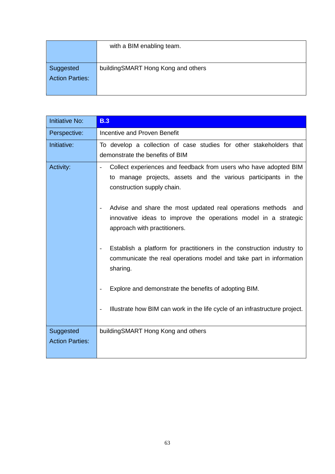|                        | with a BIM enabling team.          |
|------------------------|------------------------------------|
|                        |                                    |
| Suggested              | buildingSMART Hong Kong and others |
| <b>Action Parties:</b> |                                    |
|                        |                                    |

| <b>Initiative No:</b>               | <b>B.3</b>                                                                                                                                                                                                                                                                                                                                                                                                                                                                                                                                                                                                                                                              |
|-------------------------------------|-------------------------------------------------------------------------------------------------------------------------------------------------------------------------------------------------------------------------------------------------------------------------------------------------------------------------------------------------------------------------------------------------------------------------------------------------------------------------------------------------------------------------------------------------------------------------------------------------------------------------------------------------------------------------|
| Perspective:                        | <b>Incentive and Proven Benefit</b>                                                                                                                                                                                                                                                                                                                                                                                                                                                                                                                                                                                                                                     |
| Initiative:                         | To develop a collection of case studies for other stakeholders that<br>demonstrate the benefits of BIM                                                                                                                                                                                                                                                                                                                                                                                                                                                                                                                                                                  |
| Activity:                           | Collect experiences and feedback from users who have adopted BIM<br>to manage projects, assets and the various participants in the<br>construction supply chain.<br>Advise and share the most updated real operations methods<br>and<br>$\overline{\phantom{a}}$<br>innovative ideas to improve the operations model in a strategic<br>approach with practitioners.<br>Establish a platform for practitioners in the construction industry to<br>communicate the real operations model and take part in information<br>sharing.<br>Explore and demonstrate the benefits of adopting BIM.<br>Illustrate how BIM can work in the life cycle of an infrastructure project. |
|                                     |                                                                                                                                                                                                                                                                                                                                                                                                                                                                                                                                                                                                                                                                         |
| Suggested<br><b>Action Parties:</b> | building SMART Hong Kong and others                                                                                                                                                                                                                                                                                                                                                                                                                                                                                                                                                                                                                                     |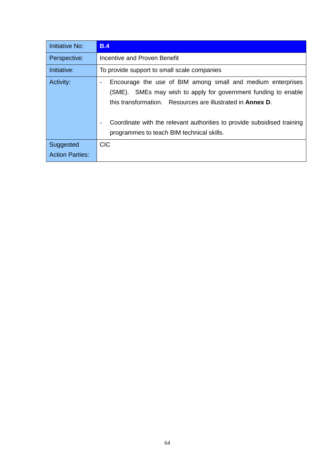| Initiative No:         | <b>B.4</b>                                                                                                                                                                                                                                                                                                                                                                          |
|------------------------|-------------------------------------------------------------------------------------------------------------------------------------------------------------------------------------------------------------------------------------------------------------------------------------------------------------------------------------------------------------------------------------|
| Perspective:           | Incentive and Proven Benefit                                                                                                                                                                                                                                                                                                                                                        |
| Initiative:            | To provide support to small scale companies                                                                                                                                                                                                                                                                                                                                         |
| Activity:              | Encourage the use of BIM among small and medium enterprises<br>$\overline{\phantom{a}}$<br>(SME). SMEs may wish to apply for government funding to enable<br>this transformation. Resources are illustrated in <b>Annex D</b> .<br>Coordinate with the relevant authorities to provide subsidised training<br>$\overline{\phantom{a}}$<br>programmes to teach BIM technical skills. |
| Suggested              | <b>CIC</b>                                                                                                                                                                                                                                                                                                                                                                          |
| <b>Action Parties:</b> |                                                                                                                                                                                                                                                                                                                                                                                     |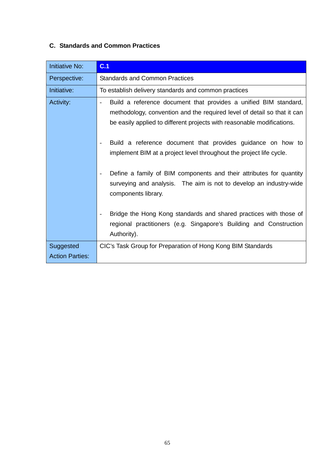# **C. Standards and Common Practices**

| <b>Initiative No:</b>               | C.1                                                                                                                                                                                                                                                                                                                                                                                                                                                                                                                                                                                                                                                                                                                                               |
|-------------------------------------|---------------------------------------------------------------------------------------------------------------------------------------------------------------------------------------------------------------------------------------------------------------------------------------------------------------------------------------------------------------------------------------------------------------------------------------------------------------------------------------------------------------------------------------------------------------------------------------------------------------------------------------------------------------------------------------------------------------------------------------------------|
| Perspective:                        | <b>Standards and Common Practices</b>                                                                                                                                                                                                                                                                                                                                                                                                                                                                                                                                                                                                                                                                                                             |
| Initiative:                         | To establish delivery standards and common practices                                                                                                                                                                                                                                                                                                                                                                                                                                                                                                                                                                                                                                                                                              |
| Activity:                           | Build a reference document that provides a unified BIM standard,<br>methodology, convention and the required level of detail so that it can<br>be easily applied to different projects with reasonable modifications.<br>Build a reference document that provides guidance on how to<br>implement BIM at a project level throughout the project life cycle.<br>Define a family of BIM components and their attributes for quantity<br>$\overline{\phantom{a}}$<br>surveying and analysis. The aim is not to develop an industry-wide<br>components library.<br>Bridge the Hong Kong standards and shared practices with those of<br>$\overline{\phantom{a}}$<br>regional practitioners (e.g. Singapore's Building and Construction<br>Authority). |
| Suggested<br><b>Action Parties:</b> | CIC's Task Group for Preparation of Hong Kong BIM Standards                                                                                                                                                                                                                                                                                                                                                                                                                                                                                                                                                                                                                                                                                       |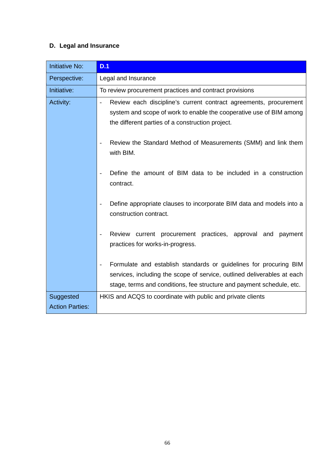# **D. Legal and Insurance**

| <b>Initiative No:</b>               | D.1                                                                                                                                                                                                                   |
|-------------------------------------|-----------------------------------------------------------------------------------------------------------------------------------------------------------------------------------------------------------------------|
| Perspective:                        | Legal and Insurance                                                                                                                                                                                                   |
| Initiative:                         | To review procurement practices and contract provisions                                                                                                                                                               |
| Activity:                           | Review each discipline's current contract agreements, procurement<br>system and scope of work to enable the cooperative use of BIM among<br>the different parties of a construction project.                          |
|                                     | Review the Standard Method of Measurements (SMM) and link them<br>with BIM.                                                                                                                                           |
|                                     | Define the amount of BIM data to be included in a construction<br>contract.                                                                                                                                           |
|                                     | Define appropriate clauses to incorporate BIM data and models into a<br>construction contract.                                                                                                                        |
|                                     | Review current procurement practices, approval and<br>payment<br>practices for works-in-progress.                                                                                                                     |
|                                     | Formulate and establish standards or guidelines for procuring BIM<br>services, including the scope of service, outlined deliverables at each<br>stage, terms and conditions, fee structure and payment schedule, etc. |
| Suggested<br><b>Action Parties:</b> | HKIS and ACQS to coordinate with public and private clients                                                                                                                                                           |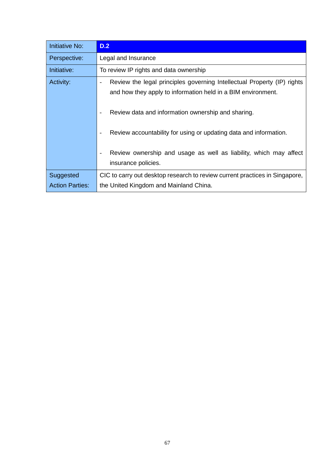| Initiative No:         | D.2                                                                                                                                     |
|------------------------|-----------------------------------------------------------------------------------------------------------------------------------------|
| Perspective:           | Legal and Insurance                                                                                                                     |
| Initiative:            | To review IP rights and data ownership                                                                                                  |
| Activity:              | Review the legal principles governing Intellectual Property (IP) rights<br>and how they apply to information held in a BIM environment. |
|                        | Review data and information ownership and sharing.                                                                                      |
|                        | Review accountability for using or updating data and information.                                                                       |
|                        | Review ownership and usage as well as liability, which may affect<br>$\overline{\phantom{a}}$<br>insurance policies.                    |
| Suggested              | CIC to carry out desktop research to review current practices in Singapore,                                                             |
| <b>Action Parties:</b> | the United Kingdom and Mainland China.                                                                                                  |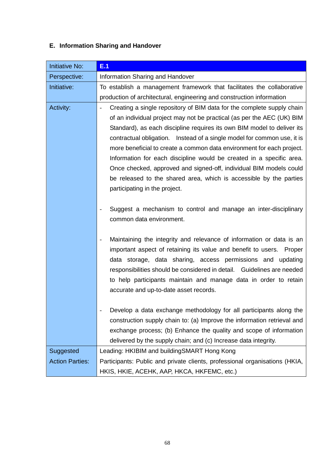# **E. Information Sharing and Handover**

| <b>Initiative No:</b>               | E.1                                                                                                                                                                                                                                                                                                                                                                                                                                                                                                                                                                                                                                                                                                                                  |
|-------------------------------------|--------------------------------------------------------------------------------------------------------------------------------------------------------------------------------------------------------------------------------------------------------------------------------------------------------------------------------------------------------------------------------------------------------------------------------------------------------------------------------------------------------------------------------------------------------------------------------------------------------------------------------------------------------------------------------------------------------------------------------------|
| Perspective:                        | Information Sharing and Handover                                                                                                                                                                                                                                                                                                                                                                                                                                                                                                                                                                                                                                                                                                     |
| Initiative:                         | To establish a management framework that facilitates the collaborative<br>production of architectural, engineering and construction information                                                                                                                                                                                                                                                                                                                                                                                                                                                                                                                                                                                      |
| Activity:                           | Creating a single repository of BIM data for the complete supply chain<br>of an individual project may not be practical (as per the AEC (UK) BIM<br>Standard), as each discipline requires its own BIM model to deliver its<br>contractual obligation.  Instead of a single model for common use, it is<br>more beneficial to create a common data environment for each project.<br>Information for each discipline would be created in a specific area.<br>Once checked, approved and signed-off, individual BIM models could<br>be released to the shared area, which is accessible by the parties<br>participating in the project.<br>Suggest a mechanism to control and manage an inter-disciplinary<br>common data environment. |
|                                     | Maintaining the integrity and relevance of information or data is an<br>$\overline{\phantom{a}}$<br>important aspect of retaining its value and benefit to users.<br>Proper<br>data storage, data sharing, access permissions and updating<br>responsibilities should be considered in detail. Guidelines are needed<br>to help participants maintain and manage data in order to retain<br>accurate and up-to-date asset records.                                                                                                                                                                                                                                                                                                   |
|                                     | Develop a data exchange methodology for all participants along the<br>construction supply chain to: (a) Improve the information retrieval and<br>exchange process; (b) Enhance the quality and scope of information<br>delivered by the supply chain; and (c) Increase data integrity.                                                                                                                                                                                                                                                                                                                                                                                                                                               |
| Suggested<br><b>Action Parties:</b> | Leading: HKIBIM and buildingSMART Hong Kong<br>Participants: Public and private clients, professional organisations (HKIA,<br>HKIS, HKIE, ACEHK, AAP, HKCA, HKFEMC, etc.)                                                                                                                                                                                                                                                                                                                                                                                                                                                                                                                                                            |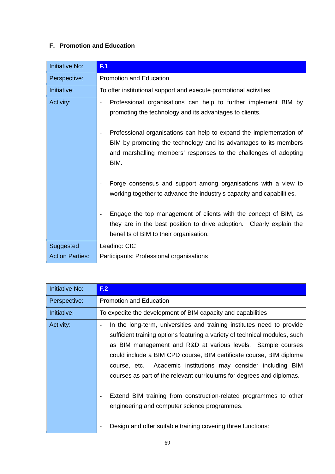# **F. Promotion and Education**

| <b>Initiative No:</b>  | F.1                                                                                                                                                                                                                                              |
|------------------------|--------------------------------------------------------------------------------------------------------------------------------------------------------------------------------------------------------------------------------------------------|
| Perspective:           | <b>Promotion and Education</b>                                                                                                                                                                                                                   |
| Initiative:            | To offer institutional support and execute promotional activities                                                                                                                                                                                |
| Activity:              | Professional organisations can help to further implement BIM by<br>$\overline{\phantom{a}}$<br>promoting the technology and its advantages to clients.                                                                                           |
|                        | Professional organisations can help to expand the implementation of<br>$\overline{\phantom{a}}$<br>BIM by promoting the technology and its advantages to its members<br>and marshalling members' responses to the challenges of adopting<br>BIM. |
|                        | Forge consensus and support among organisations with a view to<br>working together to advance the industry's capacity and capabilities.                                                                                                          |
|                        | Engage the top management of clients with the concept of BIM, as<br>they are in the best position to drive adoption. Clearly explain the<br>benefits of BIM to their organisation.                                                               |
| Suggested              | Leading: CIC                                                                                                                                                                                                                                     |
| <b>Action Parties:</b> | Participants: Professional organisations                                                                                                                                                                                                         |

| <b>Initiative No:</b> | F <sub>2</sub>                                                                                                                                                                                                                                                                                                                                                                                                                                                                                            |
|-----------------------|-----------------------------------------------------------------------------------------------------------------------------------------------------------------------------------------------------------------------------------------------------------------------------------------------------------------------------------------------------------------------------------------------------------------------------------------------------------------------------------------------------------|
| Perspective:          | <b>Promotion and Education</b>                                                                                                                                                                                                                                                                                                                                                                                                                                                                            |
| Initiative:           | To expedite the development of BIM capacity and capabilities                                                                                                                                                                                                                                                                                                                                                                                                                                              |
| Activity:             | In the long-term, universities and training institutes need to provide<br>sufficient training options featuring a variety of technical modules, such<br>as BIM management and R&D at various levels. Sample courses<br>could include a BIM CPD course, BIM certificate course, BIM diploma<br>course, etc. Academic institutions may consider including BIM<br>courses as part of the relevant curriculums for degrees and diplomas.<br>Extend BIM training from construction-related programmes to other |
|                       | engineering and computer science programmes.                                                                                                                                                                                                                                                                                                                                                                                                                                                              |
|                       | Design and offer suitable training covering three functions:                                                                                                                                                                                                                                                                                                                                                                                                                                              |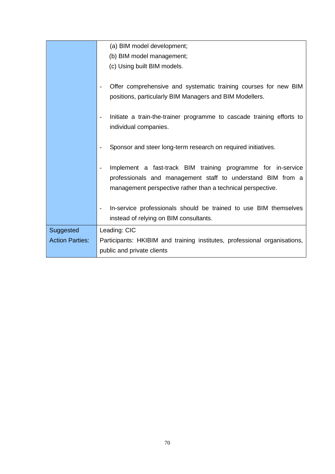|                        | (a) BIM model development;                                                                                                                                                                                             |
|------------------------|------------------------------------------------------------------------------------------------------------------------------------------------------------------------------------------------------------------------|
|                        | (b) BIM model management;                                                                                                                                                                                              |
|                        | (c) Using built BIM models.                                                                                                                                                                                            |
|                        | Offer comprehensive and systematic training courses for new BIM<br>$\qquad \qquad -$<br>positions, particularly BIM Managers and BIM Modellers.                                                                        |
|                        | Initiate a train-the-trainer programme to cascade training efforts to<br>$\overline{\phantom{a}}$<br>individual companies.                                                                                             |
|                        | Sponsor and steer long-term research on required initiatives.<br>$\overline{\phantom{0}}$                                                                                                                              |
|                        | Implement a fast-track BIM training programme for in-service<br>$\overline{\phantom{a}}$<br>professionals and management staff to understand BIM from a<br>management perspective rather than a technical perspective. |
|                        | In-service professionals should be trained to use BIM themselves<br>$\overline{\phantom{a}}$<br>instead of relying on BIM consultants.                                                                                 |
| Suggested              | Leading: CIC                                                                                                                                                                                                           |
| <b>Action Parties:</b> | Participants: HKIBIM and training institutes, professional organisations,                                                                                                                                              |
|                        | public and private clients                                                                                                                                                                                             |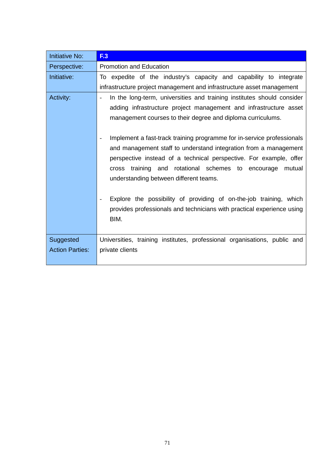| <b>Initiative No:</b>  | F <sub>13</sub>                                                                                                                                                                                                                                                                                                                                                                                                                                                                                                                                                                                                                                                                                                    |
|------------------------|--------------------------------------------------------------------------------------------------------------------------------------------------------------------------------------------------------------------------------------------------------------------------------------------------------------------------------------------------------------------------------------------------------------------------------------------------------------------------------------------------------------------------------------------------------------------------------------------------------------------------------------------------------------------------------------------------------------------|
| Perspective:           | <b>Promotion and Education</b>                                                                                                                                                                                                                                                                                                                                                                                                                                                                                                                                                                                                                                                                                     |
| Initiative:            | To expedite of the industry's capacity and capability to integrate<br>infrastructure project management and infrastructure asset management                                                                                                                                                                                                                                                                                                                                                                                                                                                                                                                                                                        |
| Activity:              | In the long-term, universities and training institutes should consider<br>$\blacksquare$<br>adding infrastructure project management and infrastructure asset<br>management courses to their degree and diploma curriculums.<br>Implement a fast-track training programme for in-service professionals<br>and management staff to understand integration from a management<br>perspective instead of a technical perspective. For example, offer<br>cross training and rotational schemes to encourage<br>mutual<br>understanding between different teams.<br>Explore the possibility of providing of on-the-job training, which<br>provides professionals and technicians with practical experience using<br>BIM. |
| Suggested              | Universities, training institutes, professional organisations, public and                                                                                                                                                                                                                                                                                                                                                                                                                                                                                                                                                                                                                                          |
| <b>Action Parties:</b> | private clients                                                                                                                                                                                                                                                                                                                                                                                                                                                                                                                                                                                                                                                                                                    |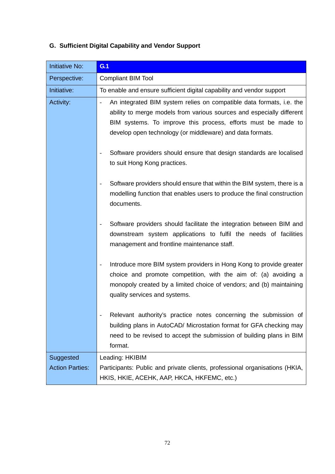| <b>Initiative No:</b>               | G <sub>1</sub>                                                                                                                                                                                                                                                                                          |
|-------------------------------------|---------------------------------------------------------------------------------------------------------------------------------------------------------------------------------------------------------------------------------------------------------------------------------------------------------|
| Perspective:                        | <b>Compliant BIM Tool</b>                                                                                                                                                                                                                                                                               |
| Initiative:                         | To enable and ensure sufficient digital capability and vendor support                                                                                                                                                                                                                                   |
| Activity:                           | An integrated BIM system relies on compatible data formats, i.e. the<br>$\overline{\phantom{a}}$<br>ability to merge models from various sources and especially different<br>BIM systems. To improve this process, efforts must be made to<br>develop open technology (or middleware) and data formats. |
|                                     | Software providers should ensure that design standards are localised<br>to suit Hong Kong practices.                                                                                                                                                                                                    |
|                                     | Software providers should ensure that within the BIM system, there is a<br>$\overline{\phantom{a}}$<br>modelling function that enables users to produce the final construction<br>documents.                                                                                                            |
|                                     | Software providers should facilitate the integration between BIM and<br>$\overline{\phantom{a}}$<br>downstream system applications to fulfil the needs of facilities<br>management and frontline maintenance staff.                                                                                     |
|                                     | Introduce more BIM system providers in Hong Kong to provide greater<br>$\overline{\phantom{a}}$<br>choice and promote competition, with the aim of: (a) avoiding a<br>monopoly created by a limited choice of vendors; and (b) maintaining<br>quality services and systems.                             |
|                                     | Relevant authority's practice notes concerning the submission of<br>building plans in AutoCAD/ Microstation format for GFA checking may<br>need to be revised to accept the submission of building plans in BIM<br>format.                                                                              |
| Suggested<br><b>Action Parties:</b> | Leading: HKIBIM<br>Participants: Public and private clients, professional organisations (HKIA,<br>HKIS, HKIE, ACEHK, AAP, HKCA, HKFEMC, etc.)                                                                                                                                                           |

# **G. Sufficient Digital Capability and Vendor Support**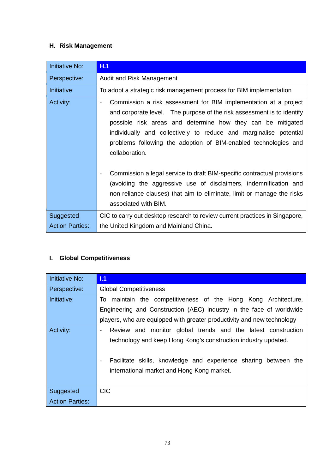# **H. Risk Management**

| <b>Initiative No:</b>  | H.1                                                                                                                                                                                                                                                                                                                                                                                             |
|------------------------|-------------------------------------------------------------------------------------------------------------------------------------------------------------------------------------------------------------------------------------------------------------------------------------------------------------------------------------------------------------------------------------------------|
| Perspective:           | Audit and Risk Management                                                                                                                                                                                                                                                                                                                                                                       |
| Initiative:            | To adopt a strategic risk management process for BIM implementation                                                                                                                                                                                                                                                                                                                             |
| Activity:              | Commission a risk assessment for BIM implementation at a project<br>$\overline{\phantom{a}}$<br>and corporate level. The purpose of the risk assessment is to identify<br>possible risk areas and determine how they can be mitigated<br>individually and collectively to reduce and marginalise potential<br>problems following the adoption of BIM-enabled technologies and<br>collaboration. |
|                        | Commission a legal service to draft BIM-specific contractual provisions<br>(avoiding the aggressive use of disclaimers, indemnification and<br>non-reliance clauses) that aim to eliminate, limit or manage the risks<br>associated with BIM.                                                                                                                                                   |
| Suggested              | CIC to carry out desktop research to review current practices in Singapore,                                                                                                                                                                                                                                                                                                                     |
| <b>Action Parties:</b> | the United Kingdom and Mainland China.                                                                                                                                                                                                                                                                                                                                                          |

# **I. Global Competitiveness**

| Initiative No:         | 1.1                                                                                         |
|------------------------|---------------------------------------------------------------------------------------------|
| Perspective:           | <b>Global Competitiveness</b>                                                               |
| Initiative:            | To maintain the competitiveness of the Hong Kong Architecture,                              |
|                        | Engineering and Construction (AEC) industry in the face of worldwide                        |
|                        | players, who are equipped with greater productivity and new technology                      |
| Activity:              | Review and monitor global trends and the latest construction<br>$\overline{\phantom{a}}$    |
|                        | technology and keep Hong Kong's construction industry updated.                              |
|                        |                                                                                             |
|                        | Facilitate skills, knowledge and experience sharing between the<br>$\overline{\phantom{a}}$ |
|                        | international market and Hong Kong market.                                                  |
|                        |                                                                                             |
| Suggested              | <b>CIC</b>                                                                                  |
| <b>Action Parties:</b> |                                                                                             |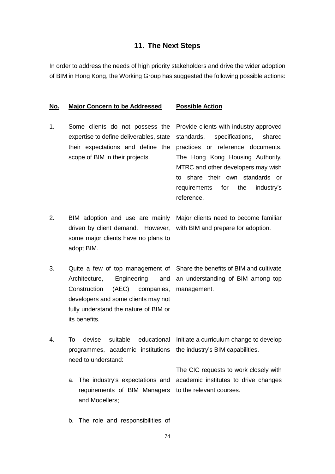#### **11. The Next Steps**

In order to address the needs of high priority stakeholders and drive the wider adoption of BIM in Hong Kong, the Working Group has suggested the following possible actions:

#### **No. Major Concern to be Addressed Possible Action**

1. Some clients do not possess the expertise to define deliverables, state their expectations and define the scope of BIM in their projects.

Provide clients with industry-approved standards, specifications, shared practices or reference documents. The Hong Kong Housing Authority, MTRC and other developers may wish to share their own standards or requirements for the industry's reference.

- 2. BIM adoption and use are mainly driven by client demand. However, some major clients have no plans to adopt BIM. Major clients need to become familiar with BIM and prepare for adoption.
- 3. Quite a few of top management of Architecture, Engineering and Construction (AEC) companies, management. developers and some clients may not fully understand the nature of BIM or its benefits. Share the benefits of BIM and cultivate an understanding of BIM among top
- 4. To devise suitable educational Initiate a curriculum change to develop programmes, academic institutions the industry's BIM capabilities. need to understand:
	- a. The industry's expectations and requirements of BIM Managers and Modellers; to the relevant courses.

The CIC requests to work closely with academic institutes to drive changes

b. The role and responsibilities of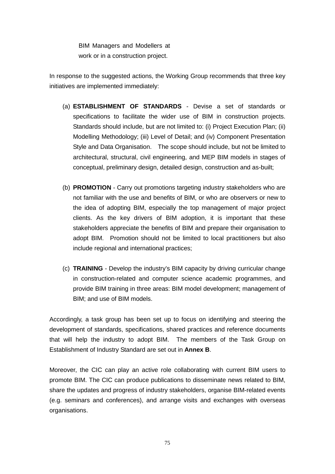BIM Managers and Modellers at work or in a construction project.

In response to the suggested actions, the Working Group recommends that three key initiatives are implemented immediately:

- (a) **ESTABLISHMENT OF STANDARDS** Devise a set of standards or specifications to facilitate the wider use of BIM in construction projects. Standards should include, but are not limited to: (i) Project Execution Plan; (ii) Modelling Methodology; (iii) Level of Detail; and (iv) Component Presentation Style and Data Organisation. The scope should include, but not be limited to architectural, structural, civil engineering, and MEP BIM models in stages of conceptual, preliminary design, detailed design, construction and as-built;
- (b) **PROMOTION** Carry out promotions targeting industry stakeholders who are not familiar with the use and benefits of BIM, or who are observers or new to the idea of adopting BIM, especially the top management of major project clients. As the key drivers of BIM adoption, it is important that these stakeholders appreciate the benefits of BIM and prepare their organisation to adopt BIM. Promotion should not be limited to local practitioners but also include regional and international practices;
- (c) **TRAINING** Develop the industry's BIM capacity by driving curricular change in construction-related and computer science academic programmes, and provide BIM training in three areas: BIM model development; management of BIM; and use of BIM models.

Accordingly, a task group has been set up to focus on identifying and steering the development of standards, specifications, shared practices and reference documents that will help the industry to adopt BIM. The members of the Task Group on Establishment of Industry Standard are set out in **Annex B**.

Moreover, the CIC can play an active role collaborating with current BIM users to promote BIM. The CIC can produce publications to disseminate news related to BIM, share the updates and progress of industry stakeholders, organise BIM-related events (e.g. seminars and conferences), and arrange visits and exchanges with overseas organisations.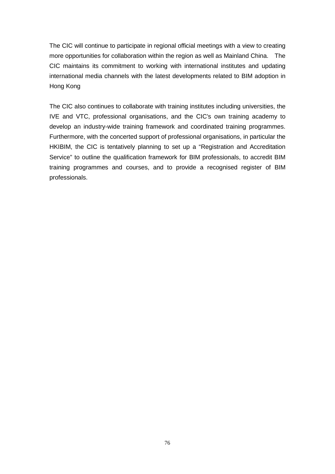The CIC will continue to participate in regional official meetings with a view to creating more opportunities for collaboration within the region as well as Mainland China. The CIC maintains its commitment to working with international institutes and updating international media channels with the latest developments related to BIM adoption in Hong Kong

The CIC also continues to collaborate with training institutes including universities, the IVE and VTC, professional organisations, and the CIC's own training academy to develop an industry-wide training framework and coordinated training programmes. Furthermore, with the concerted support of professional organisations, in particular the HKIBIM, the CIC is tentatively planning to set up a "Registration and Accreditation Service" to outline the qualification framework for BIM professionals, to accredit BIM training programmes and courses, and to provide a recognised register of BIM professionals.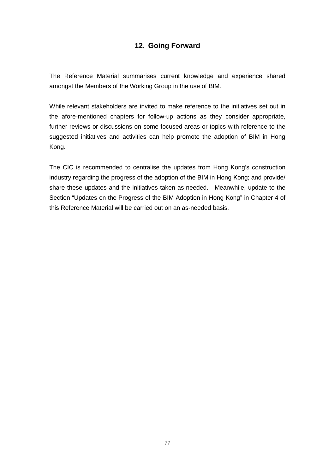# **12. Going Forward**

The Reference Material summarises current knowledge and experience shared amongst the Members of the Working Group in the use of BIM.

While relevant stakeholders are invited to make reference to the initiatives set out in the afore-mentioned chapters for follow-up actions as they consider appropriate, further reviews or discussions on some focused areas or topics with reference to the suggested initiatives and activities can help promote the adoption of BIM in Hong Kong.

The CIC is recommended to centralise the updates from Hong Kong's construction industry regarding the progress of the adoption of the BIM in Hong Kong; and provide/ share these updates and the initiatives taken as-needed. Meanwhile, update to the Section "Updates on the Progress of the BIM Adoption in Hong Kong" in Chapter 4 of this Reference Material will be carried out on an as-needed basis.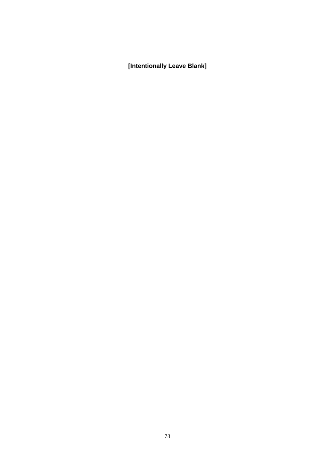**[Intentionally Leave Blank]**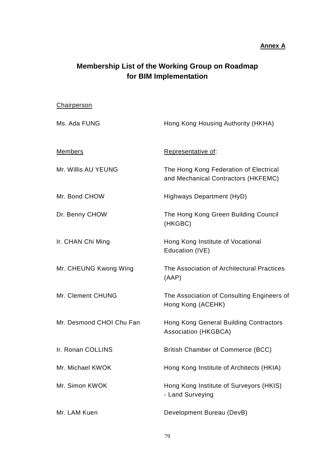#### **Annex A**

# **Membership List of the Working Group on Roadmap for BIM Implementation**

**Chairperson** 

# Ms. Ada FUNG **Hong Kong Housing Authority (HKHA)** Members Representative of: Mr. Willis AU YEUNG The Hong Kong Federation of Electrical and Mechanical Contractors (HKFEMC) Mr. Bond CHOW Highways Department (HyD) Dr. Benny CHOW The Hong Kong Green Building Council (HKGBC) Ir. CHAN Chi Ming **Hong Kong Institute of Vocational** Education (IVE) Mr. CHEUNG Kwong Wing The Association of Architectural Practices (AAP) Mr. Clement CHUNG The Association of Consulting Engineers of Hong Kong (ACEHK) Mr. Desmond CHOI Chu Fan Hong Kong General Building Contractors Association (HKGBCA) Ir. Ronan COLLINS British Chamber of Commerce (BCC) Mr. Michael KWOK Hong Kong Institute of Architects (HKIA) Mr. Simon KWOK Hong Kong Institute of Surveyors (HKIS) - Land Surveying Mr. LAM Kuen Development Bureau (DevB)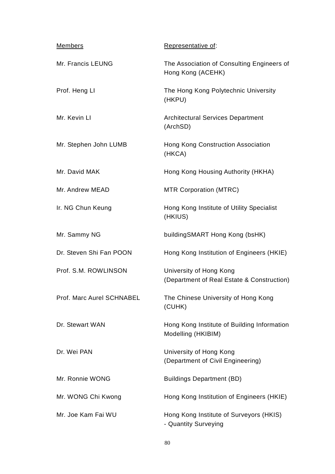| <b>Members</b>            | Representative of:                                                    |
|---------------------------|-----------------------------------------------------------------------|
| Mr. Francis LEUNG         | The Association of Consulting Engineers of<br>Hong Kong (ACEHK)       |
| Prof. Heng LI             | The Hong Kong Polytechnic University<br>(HKPU)                        |
| Mr. Kevin LI              | Architectural Services Department<br>(ArchSD)                         |
| Mr. Stephen John LUMB     | Hong Kong Construction Association<br>(HKCA)                          |
| Mr. David MAK             | Hong Kong Housing Authority (HKHA)                                    |
| Mr. Andrew MEAD           | <b>MTR Corporation (MTRC)</b>                                         |
| Ir. NG Chun Keung         | Hong Kong Institute of Utility Specialist<br>(HKIUS)                  |
| Mr. Sammy NG              | building SMART Hong Kong (bsHK)                                       |
| Dr. Steven Shi Fan POON   | Hong Kong Institution of Engineers (HKIE)                             |
| Prof. S.M. ROWLINSON      | University of Hong Kong<br>(Department of Real Estate & Construction) |
| Prof. Marc Aurel SCHNABEL | The Chinese University of Hong Kong<br>(CUHK)                         |
| Dr. Stewart WAN           | Hong Kong Institute of Building Information<br>Modelling (HKIBIM)     |
| Dr. Wei PAN               | University of Hong Kong<br>(Department of Civil Engineering)          |
| Mr. Ronnie WONG           | <b>Buildings Department (BD)</b>                                      |
| Mr. WONG Chi Kwong        | Hong Kong Institution of Engineers (HKIE)                             |
| Mr. Joe Kam Fai WU        | Hong Kong Institute of Surveyors (HKIS)<br>- Quantity Surveying       |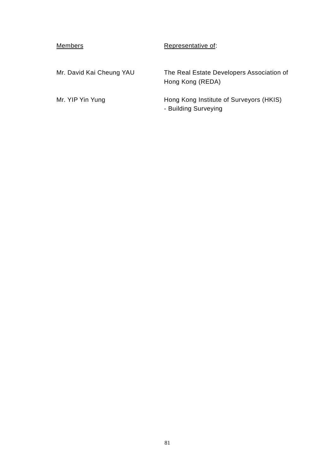| Members                  | Representative of:                                              |
|--------------------------|-----------------------------------------------------------------|
| Mr. David Kai Cheung YAU | The Real Estate Developers Association of<br>Hong Kong (REDA)   |
| Mr. YIP Yin Yung         | Hong Kong Institute of Surveyors (HKIS)<br>- Building Surveying |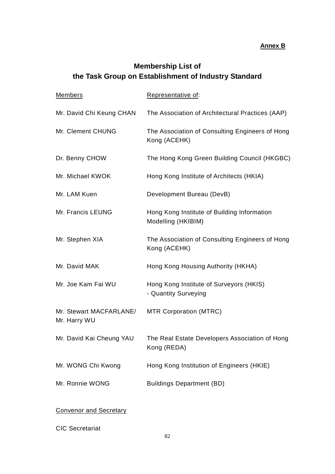## **Annex B**

# **Membership List of the Task Group on Establishment of Industry Standard**

| <b>Members</b>                          | Representative of:                                                |
|-----------------------------------------|-------------------------------------------------------------------|
| Mr. David Chi Keung CHAN                | The Association of Architectural Practices (AAP)                  |
| Mr. Clement CHUNG                       | The Association of Consulting Engineers of Hong<br>Kong (ACEHK)   |
| Dr. Benny CHOW                          | The Hong Kong Green Building Council (HKGBC)                      |
| Mr. Michael KWOK                        | Hong Kong Institute of Architects (HKIA)                          |
| Mr. LAM Kuen                            | Development Bureau (DevB)                                         |
| Mr. Francis LEUNG                       | Hong Kong Institute of Building Information<br>Modelling (HKIBIM) |
| Mr. Stephen XIA                         | The Association of Consulting Engineers of Hong<br>Kong (ACEHK)   |
| Mr. David MAK                           | Hong Kong Housing Authority (HKHA)                                |
| Mr. Joe Kam Fai WU                      | Hong Kong Institute of Surveyors (HKIS)<br>- Quantity Surveying   |
| Mr. Stewart MACFARLANE/<br>Mr. Harry WU | <b>MTR Corporation (MTRC)</b>                                     |
| Mr. David Kai Cheung YAU                | The Real Estate Developers Association of Hong<br>Kong (REDA)     |
| Mr. WONG Chi Kwong                      | Hong Kong Institution of Engineers (HKIE)                         |
| Mr. Ronnie WONG                         | <b>Buildings Department (BD)</b>                                  |

# Convenor and Secretary

CIC Secretariat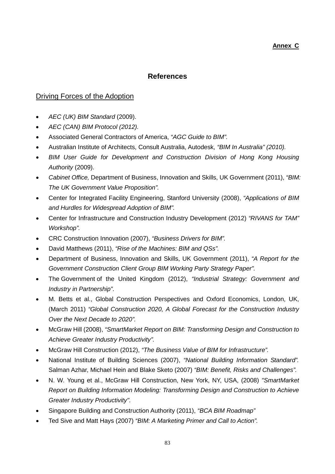## **References**

## Driving Forces of the Adoption

- *AEC (UK) BIM Standard* (2009).
- *AEC (CAN) BIM Protocol (2012).*
- Associated General Contractors of America, *"AGC Guide to BIM".*
- Australian Institute of Architects, Consult Australia, Autodesk*, "BIM In Australia" (2010).*
- *BIM User Guide for Development and Construction Division of Hong Kong Housing Authority* (2009).
- *Cabinet Office,* Department of Business, Innovation and Skills, UK Government (2011), *"BIM: The UK Government Value Proposition".*
- Center for Integrated Facility Engineering, Stanford University (2008), *"Applications of BIM and Hurdles for Widespread Adoption of BIM".*
- Center for Infrastructure and Construction Industry Development (2012) *"RIVANS for TAM" Workshop".*
- CRC Construction Innovation (2007), *"Business Drivers for BIM".*
- David Matthews (2011), *"Rise of the Machines: BIM and QSs".*
- Department of Business, Innovation and Skills, UK Government (2011), *"A Report for the Government Construction Client Group BIM Working Party Strategy Paper".*
- The Government of the United Kingdom (2012), *"Industrial Strategy: Government and Industry in Partnership"*.
- M. Betts et al., Global Construction Perspectives and Oxford Economics, London, UK, (March 2011) *"Global Construction 2020, A Global Forecast for the Construction Industry Over the Next Decade to 2020".*
- McGraw Hill (2008), *"SmartMarket Report on BIM: Transforming Design and Construction to Achieve Greater Industry Productivity".*
- McGraw Hill Construction (2012), *"The Business Value of BIM for Infrastructure".*
- National Institute of Building Sciences (2007), *"National Building Information Standard".* Salman Azhar, Michael Hein and Blake Sketo (2007) *"BIM: Benefit, Risks and Challenges".*
- N. W. Young et al., McGraw Hill Construction, New York, NY, USA, (2008) *"SmartMarket Report on Building Information Modeling: Transforming Design and Construction to Achieve Greater Industry Productivity".*
- Singapore Building and Construction Authority (2011), *"BCA BIM Roadmap"*
- Ted Sive and Matt Hays (2007) *"BIM: A Marketing Primer and Call to Action".*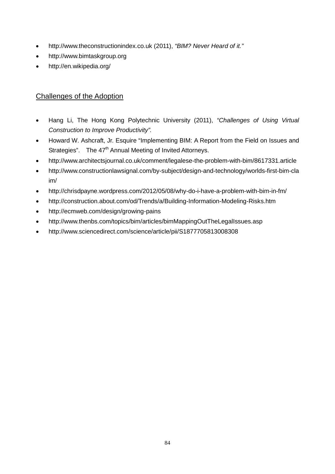- [http://www.theconstructionindex.co.uk](http://www.theconstructionindex.co.uk/) (2011), *"BIM? Never Heard of it."*
- http://www.bimtaskgroup.org
- http://en.wikipedia.org/

# Challenges of the Adoption

- Hang Li, The Hong Kong Polytechnic University (2011), *"Challenges of Using Virtual Construction to Improve Productivity".*
- Howard W. Ashcraft, Jr. Esquire "Implementing BIM: A Report from the Field on Issues and Strategies". The  $47<sup>th</sup>$  Annual Meeting of Invited Attorneys.
- <http://www.architectsjournal.co.uk/comment/legalese-the-problem-with-bim/8617331.article>
- [http://www.constructionlawsignal.com/by-subject/design-and-technology/worlds-first-bim-cla](http://www.constructionlawsignal.com/by-subject/design-and-technology/worlds-first-bim-claim/) [im/](http://www.constructionlawsignal.com/by-subject/design-and-technology/worlds-first-bim-claim/)
- <http://chrisdpayne.wordpress.com/2012/05/08/why-do-i-have-a-problem-with-bim-in-fm/>
- <http://construction.about.com/od/Trends/a/Building-Information-Modeling-Risks.htm>
- <http://ecmweb.com/design/growing-pains>
- <http://www.thenbs.com/topics/bim/articles/bimMappingOutTheLegalIssues.asp>
- <http://www.sciencedirect.com/science/article/pii/S1877705813008308>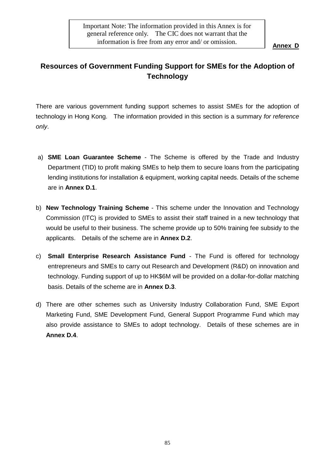# **Resources of Government Funding Support for SMEs for the Adoption of Technology**

There are various government funding support schemes to assist SMEs for the adoption of technology in Hong Kong. The information provided in this section is a summary *for reference only*.

- a) **SME Loan Guarantee Scheme** The Scheme is offered by the Trade and Industry Department (TID) to profit making SMEs to help them to secure loans from the participating lending institutions for installation & equipment, working capital needs. Details of the scheme are in **Annex D.1**.
- b) **New Technology Training Scheme** This scheme under the Innovation and Technology Commission (ITC) is provided to SMEs to assist their staff trained in a new technology that would be useful to their business. The scheme provide up to 50% training fee subsidy to the applicants. Details of the scheme are in **Annex D.2**.
- c) **Small Enterprise Research Assistance Fund** The Fund is offered for technology entrepreneurs and SMEs to carry out Research and Development (R&D) on innovation and technology. Funding support of up to HK\$6M will be provided on a dollar-for-dollar matching basis. Details of the scheme are in **Annex D.3**.
- d) There are other schemes such as University Industry Collaboration Fund, SME Export Marketing Fund, SME Development Fund, General Support Programme Fund which may also provide assistance to SMEs to adopt technology. Details of these schemes are in **Annex D.4**.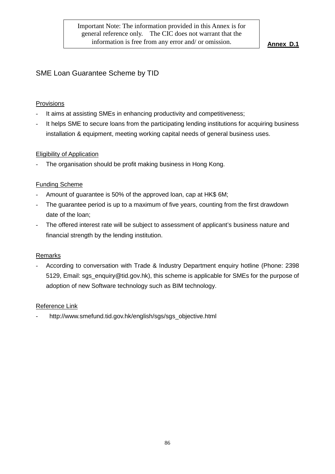# SME Loan Guarantee Scheme by TID

#### Provisions

- It aims at assisting SMEs in enhancing productivity and competitiveness;
- It helps SME to secure loans from the participating lending institutions for acquiring business installation & equipment, meeting working capital needs of general business uses.

#### Eligibility of Application

The organisation should be profit making business in Hong Kong.

#### Funding Scheme

- Amount of guarantee is 50% of the approved loan, cap at HK\$ 6M;
- The guarantee period is up to a maximum of five years, counting from the first drawdown date of the loan;
- The offered interest rate will be subject to assessment of applicant's business nature and financial strength by the lending institution.

#### Remarks

- According to conversation with Trade & Industry Department enquiry hotline (Phone: 2398 5129, Email: sgs\_enquiry@tid.gov.hk), this scheme is applicable for SMEs for the purpose of adoption of new Software technology such as BIM technology.

#### Reference Link

http://www.smefund.tid.gov.hk/english/sgs/sgs\_objective.html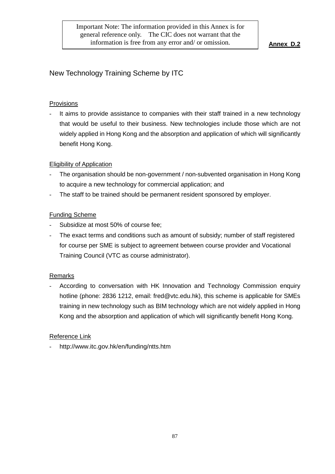# New Technology Training Scheme by ITC

#### Provisions

It aims to provide assistance to companies with their staff trained in a new technology that would be useful to their business. New technologies include those which are not widely applied in Hong Kong and the absorption and application of which will significantly benefit Hong Kong.

#### Eligibility of Application

- The organisation should be non-government / non-subvented organisation in Hong Kong to acquire a new technology for commercial application; and
- The staff to be trained should be permanent resident sponsored by employer.

#### Funding Scheme

- Subsidize at most 50% of course fee:
- The exact terms and conditions such as amount of subsidy; number of staff registered for course per SME is subject to agreement between course provider and Vocational Training Council (VTC as course administrator).

#### Remarks

According to conversation with HK Innovation and Technology Commission enquiry hotline (phone: 2836 1212, email: fred@vtc.edu.hk), this scheme is applicable for SMEs training in new technology such as BIM technology which are not widely applied in Hong Kong and the absorption and application of which will significantly benefit Hong Kong.

#### Reference Link

- http://www.itc.gov.hk/en/funding/ntts.htm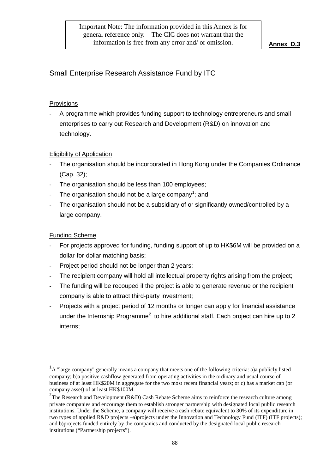# Small Enterprise Research Assistance Fund by ITC

#### Provisions

- A programme which provides funding support to technology entrepreneurs and small enterprises to carry out Research and Development (R&D) on innovation and technology.

## Eligibility of Application

- The organisation should be incorporated in Hong Kong under the Companies Ordinance (Cap. 32);
- The organisation should be less than 100 employees;
- $\;$  The organisation should not be a large company<sup>[1](#page-87-0)</sup>; and
- The organisation should not be a subsidiary of or significantly owned/controlled by a large company.

## Funding Scheme

 $\overline{a}$ 

- For projects approved for funding, funding support of up to HK\$6M will be provided on a dollar-for-dollar matching basis;
- Project period should not be longer than 2 years;
- The recipient company will hold all intellectual property rights arising from the project:
- The funding will be recouped if the project is able to generate revenue or the recipient company is able to attract third-party investment;
- Projects with a project period of 12 months or longer can apply for financial assistance under the Internship Programme<sup>[2](#page-87-1)</sup> to hire additional staff. Each project can hire up to 2 interns;

<span id="page-87-0"></span><sup>&</sup>lt;sup>1</sup>A "large company" generally means a company that meets one of the following criteria: a)a publicly listed company; b)a positive cashflow generated from operating activities in the ordinary and usual course of business of at least HK\$20M in aggregate for the two most recent financial years; or c) has a market cap (or company asset) of at least HK\$100M.

<span id="page-87-1"></span><sup>&</sup>lt;sup>2</sup>The Research and Development (R&D) Cash Rebate Scheme aims to reinforce the research culture among private companies and encourage them to establish stronger partnership with designated local public research institutions. Under the Scheme, a company will receive a cash rebate equivalent to 30% of its expenditure in two types of applied R&D projects –a)projects under the Innovation and Technology Fund (ITF) (ITF projects); and b)projects funded entirely by the companies and conducted by the designated local public research institutions ("Partnership projects").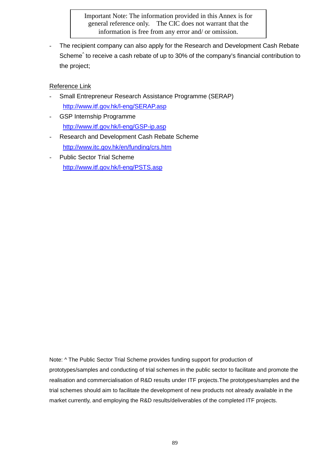Important Note: The information provided in this Annex is for general reference only. The CIC does not warrant that the information is free from any error and/ or omission.

The recipient company can also apply for the Research and Development Cash Rebate Scheme<sup> $\hat{ }$ </sup> to receive a cash rebate of up to 30% of the company's financial contribution to the project;

#### Reference Link

- Small Entrepreneur Research Assistance Programme (SERAP) <http://www.itf.gov.hk/l-eng/SERAP.asp>
- GSP Internship Programme <http://www.itf.gov.hk/l-eng/GSP-ip.asp>
- Research and Development Cash Rebate Scheme <http://www.itc.gov.hk/en/funding/crs.htm>
- Public Sector Trial Scheme <http://www.itf.gov.hk/l-eng/PSTS.asp>

Note: ^ The Public Sector Trial Scheme provides funding support for production of prototypes/samples and conducting of trial schemes in the public sector to facilitate and promote the realisation and commercialisation of R&D results under ITF projects.The prototypes/samples and the trial schemes should aim to facilitate the development of new products not already available in the market currently, and employing the R&D results/deliverables of the completed ITF projects.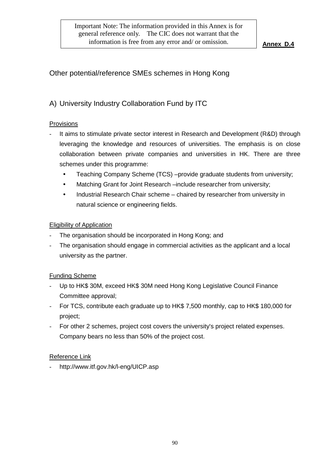# Other potential/reference SMEs schemes in Hong Kong

# A) University Industry Collaboration Fund by ITC

#### Provisions

- It aims to stimulate private sector interest in Research and Development (R&D) through leveraging the knowledge and resources of universities. The emphasis is on close collaboration between private companies and universities in HK. There are three schemes under this programme:
	- Teaching Company Scheme (TCS) –provide graduate students from university;
	- Matching Grant for Joint Research –include researcher from university;
	- Industrial Research Chair scheme chaired by researcher from university in natural science or engineering fields.

## Eligibility of Application

- The organisation should be incorporated in Hong Kong; and
- The organisation should engage in commercial activities as the applicant and a local university as the partner.

## Funding Scheme

- Up to HK\$ 30M, exceed HK\$ 30M need Hong Kong Legislative Council Finance Committee approval;
- For TCS, contribute each graduate up to HK\$ 7,500 monthly, cap to HK\$ 180,000 for project;
- For other 2 schemes, project cost covers the university's project related expenses. Company bears no less than 50% of the project cost.

#### Reference Link

- http://www.itf.gov.hk/l-eng/UICP.asp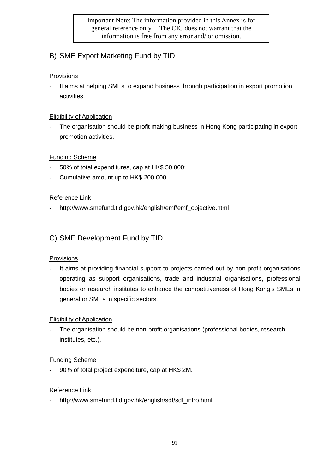Important Note: The information provided in this Annex is for general reference only. The CIC does not warrant that the information is free from any error and/ or omission.

# B) SME Export Marketing Fund by TID

## Provisions

It aims at helping SMEs to expand business through participation in export promotion activities.

# Eligibility of Application

The organisation should be profit making business in Hong Kong participating in export promotion activities.

# Funding Scheme

- 50% of total expenditures, cap at HK\$ 50,000;
- Cumulative amount up to HK\$ 200,000.

## Reference Link

http://www.smefund.tid.gov.hk/english/emf/emf\_objective.html

# C) SME Development Fund by TID

## **Provisions**

It aims at providing financial support to projects carried out by non-profit organisations operating as support organisations, trade and industrial organisations, professional bodies or research institutes to enhance the competitiveness of Hong Kong's SMEs in general or SMEs in specific sectors.

## Eligibility of Application

The organisation should be non-profit organisations (professional bodies, research institutes, etc.).

## Funding Scheme

- 90% of total project expenditure, cap at HK\$ 2M.

## Reference Link

- http://www.smefund.tid.gov.hk/english/sdf/sdf\_intro.html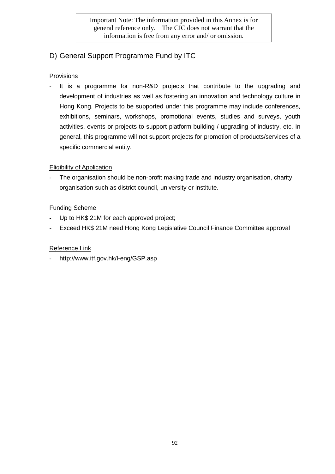Important Note: The information provided in this Annex is for general reference only. The CIC does not warrant that the information is free from any error and/ or omission.

# D) General Support Programme Fund by ITC

## Provisions

It is a programme for non-R&D projects that contribute to the upgrading and development of industries as well as fostering an innovation and technology culture in Hong Kong. Projects to be supported under this programme may include conferences, exhibitions, seminars, workshops, promotional events, studies and surveys, youth activities, events or projects to support platform building / upgrading of industry, etc. In general, this programme will not support projects for promotion of products/services of a specific commercial entity.

## Eligibility of Application

The organisation should be non-profit making trade and industry organisation, charity organisation such as district council, university or institute.

## Funding Scheme

- Up to HK\$ 21M for each approved project;
- Exceed HK\$ 21M need Hong Kong Legislative Council Finance Committee approval

#### Reference Link

http://www.itf.gov.hk/l-eng/GSP.asp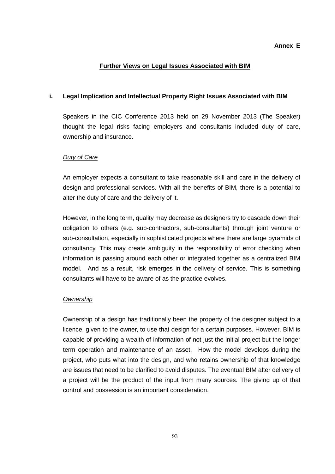#### **Annex E**

#### **Further Views on Legal Issues Associated with BIM**

#### **i. Legal Implication and Intellectual Property Right Issues Associated with BIM**

Speakers in the CIC Conference 2013 held on 29 November 2013 (The Speaker) thought the legal risks facing employers and consultants included duty of care, ownership and insurance.

#### *Duty of Care*

An employer expects a consultant to take reasonable skill and care in the delivery of design and professional services. With all the benefits of BIM, there is a potential to alter the duty of care and the delivery of it.

However, in the long term, quality may decrease as designers try to cascade down their obligation to others (e.g. sub-contractors, sub-consultants) through joint venture or sub-consultation, especially in sophisticated projects where there are large pyramids of consultancy. This may create ambiguity in the responsibility of error checking when information is passing around each other or integrated together as a centralized BIM model. And as a result, risk emerges in the delivery of service. This is something consultants will have to be aware of as the practice evolves.

#### *Ownership*

Ownership of a design has traditionally been the property of the designer subject to a licence, given to the owner, to use that design for a certain purposes. However, BIM is capable of providing a wealth of information of not just the initial project but the longer term operation and maintenance of an asset. How the model develops during the project, who puts what into the design, and who retains ownership of that knowledge are issues that need to be clarified to avoid disputes. The eventual BIM after delivery of a project will be the product of the input from many sources. The giving up of that control and possession is an important consideration.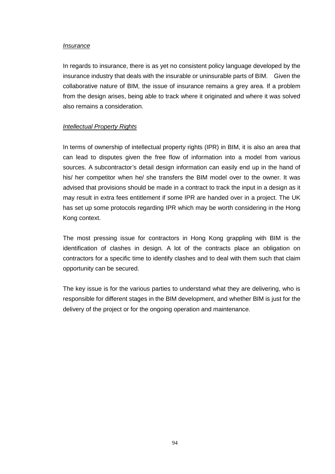#### *Insurance*

In regards to insurance, there is as yet no consistent policy language developed by the insurance industry that deals with the insurable or uninsurable parts of BIM. Given the collaborative nature of BIM, the issue of insurance remains a grey area. If a problem from the design arises, being able to track where it originated and where it was solved also remains a consideration.

#### *Intellectual Property Rights*

In terms of ownership of intellectual property rights (IPR) in BIM, it is also an area that can lead to disputes given the free flow of information into a model from various sources. A subcontractor's detail design information can easily end up in the hand of his/ her competitor when he/ she transfers the BIM model over to the owner. It was advised that provisions should be made in a contract to track the input in a design as it may result in extra fees entitlement if some IPR are handed over in a project. The UK has set up some protocols regarding IPR which may be worth considering in the Hong Kong context.

The most pressing issue for contractors in Hong Kong grappling with BIM is the identification of clashes in design. A lot of the contracts place an obligation on contractors for a specific time to identify clashes and to deal with them such that claim opportunity can be secured.

The key issue is for the various parties to understand what they are delivering, who is responsible for different stages in the BIM development, and whether BIM is just for the delivery of the project or for the ongoing operation and maintenance.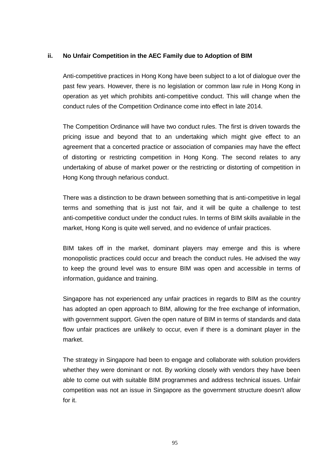#### **ii. No Unfair Competition in the AEC Family due to Adoption of BIM**

Anti-competitive practices in Hong Kong have been subject to a lot of dialogue over the past few years. However, there is no legislation or common law rule in Hong Kong in operation as yet which prohibits anti-competitive conduct. This will change when the conduct rules of the Competition Ordinance come into effect in late 2014.

The Competition Ordinance will have two conduct rules. The first is driven towards the pricing issue and beyond that to an undertaking which might give effect to an agreement that a concerted practice or association of companies may have the effect of distorting or restricting competition in Hong Kong. The second relates to any undertaking of abuse of market power or the restricting or distorting of competition in Hong Kong through nefarious conduct.

There was a distinction to be drawn between something that is anti-competitive in legal terms and something that is just not fair, and it will be quite a challenge to test anti-competitive conduct under the conduct rules. In terms of BIM skills available in the market, Hong Kong is quite well served, and no evidence of unfair practices.

BIM takes off in the market, dominant players may emerge and this is where monopolistic practices could occur and breach the conduct rules. He advised the way to keep the ground level was to ensure BIM was open and accessible in terms of information, guidance and training.

Singapore has not experienced any unfair practices in regards to BIM as the country has adopted an open approach to BIM, allowing for the free exchange of information, with government support. Given the open nature of BIM in terms of standards and data flow unfair practices are unlikely to occur, even if there is a dominant player in the market.

The strategy in Singapore had been to engage and collaborate with solution providers whether they were dominant or not. By working closely with vendors they have been able to come out with suitable BIM programmes and address technical issues. Unfair competition was not an issue in Singapore as the government structure doesn't allow for it.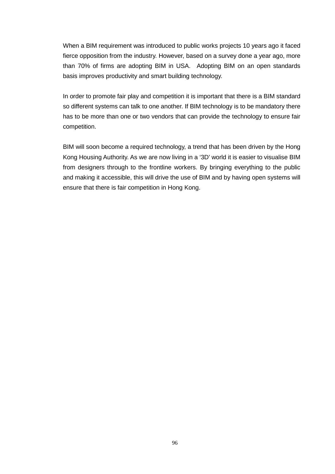When a BIM requirement was introduced to public works projects 10 years ago it faced fierce opposition from the industry. However, based on a survey done a year ago, more than 70% of firms are adopting BIM in USA. Adopting BIM on an open standards basis improves productivity and smart building technology.

In order to promote fair play and competition it is important that there is a BIM standard so different systems can talk to one another. If BIM technology is to be mandatory there has to be more than one or two vendors that can provide the technology to ensure fair competition.

BIM will soon become a required technology, a trend that has been driven by the Hong Kong Housing Authority. As we are now living in a '3D' world it is easier to visualise BIM from designers through to the frontline workers. By bringing everything to the public and making it accessible, this will drive the use of BIM and by having open systems will ensure that there is fair competition in Hong Kong.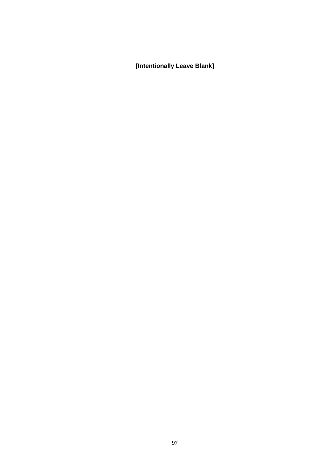**[Intentionally Leave Blank]**